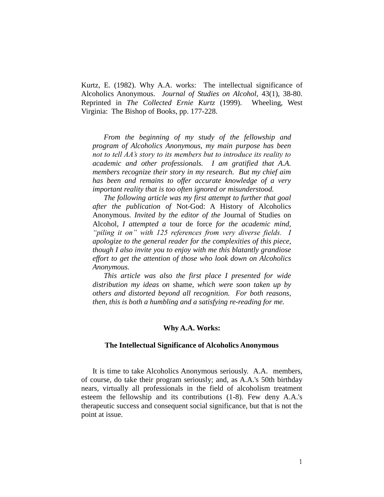Kurtz, E. (1982). Why A.A. works: The intellectual significance of Alcoholics Anonymous. *Journal of Studies on Alcohol*, 43(1), 38-80. Reprinted in *The Collected Ernie Kurtz* (1999). Wheeling, West Virginia: The Bishop of Books, pp. 177-228.

*From the beginning of my study of the fellowship and program of Alcoholics Anonymous, my main purpose has been not to tell AA's story to its members but to introduce its reality to academic and other professionals. I am gratified that A.A. members recognize their story in my research. But my chief aim has been and remains to offer accurate knowledge of a very important reality that is too often ignored or misunderstood.* 

*The following article was my first attempt to further that goal after the publication of* Not-God: A History of Alcoholics Anonymous. *Invited by the editor of the* Journal of Studies on Alcohol*, I attempted a* tour de force *for the academic mind, "piling it on" with 125 references from very diverse fields. I apologize to the general reader for the complexities of this piece, though I also invite you to enjoy with me this blatantly grandiose effort to get the attention of those who look down on Alcoholics Anonymous.*

*This article was also the first place I presented for wide distribution my ideas on* shame*, which were soon taken up by others and distorted beyond all recognition. For both reasons, then, this is both a humbling and a satisfying re-reading for me.* 

#### **Why A.A. Works:**

## **The Intellectual Significance of Alcoholics Anonymous**

It is time to take Alcoholics Anonymous seriously. A.A. members, of course, do take their program seriously; and, as A.A.'s 50th birthday nears, virtually all professionals in the field of alcoholism treatment esteem the fellowship and its contributions (1-8). Few deny A.A.'s therapeutic success and consequent social significance, but that is not the point at issue.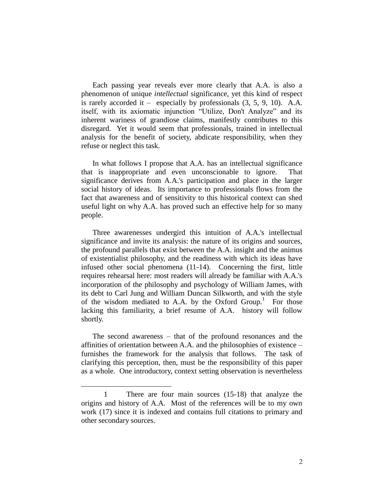Each passing year reveals ever more clearly that A.A. is also a phenomenon of unique *intellectual* significance, yet this kind of respect is rarely accorded it – especially by professionals  $(3, 5, 9, 10)$ . A.A. itself, with its axiomatic injunction "Utilize, Don't Analyze" and its inherent wariness of grandiose claims, manifestly contributes to this disregard. Yet it would seem that professionals, trained in intellectual analysis for the benefit of society, abdicate responsibility, when they refuse or neglect this task.

In what follows I propose that A.A. has an intellectual significance that is inappropriate and even unconscionable to ignore. That significance derives from A.A.'s participation and place in the larger social history of ideas. Its importance to professionals flows from the fact that awareness and of sensitivity to this historical context can shed useful light on why A.A. has proved such an effective help for so many people.

Three awarenesses undergird this intuition of A.A.'s intellectual significance and invite its analysis: the nature of its origins and sources, the profound parallels that exist between the A.A. insight and the animus of existentialist philosophy, and the readiness with which its ideas have infused other social phenomena (11-14). Concerning the first, little requires rehearsal here: most readers will already be familiar with A.A.'s incorporation of the philosophy and psychology of William James, with its debt to Carl Jung and William Duncan Silkworth, and with the style of the wisdom mediated to A.A. by the Oxford Group.<sup>1</sup> For those lacking this familiarity, a brief resume of A.A. history will follow shortly.

The second awareness – that of the profound resonances and the affinities of orientation between A.A. and the philosophies of existence – furnishes the framework for the analysis that follows. The task of clarifying this perception, then, must be the responsibility of this paper as a whole. One introductory, context setting observation is nevertheless

 $\overline{a}$ 

<sup>1</sup> There are four main sources (15-18) that analyze the origins and history of A.A. Most of the references will be to my own work (17) since it is indexed and contains full citations to primary and other secondary sources.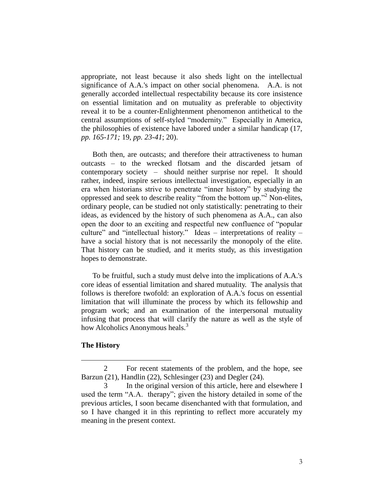appropriate, not least because it also sheds light on the intellectual significance of A.A.'s impact on other social phenomena. A.A. is not generally accorded intellectual respectability because its core insistence on essential limitation and on mutuality as preferable to objectivity reveal it to be a counter-Enlightenment phenomenon antithetical to the central assumptions of self-styled "modernity." Especially in America, the philosophies of existence have labored under a similar handicap (17, *pp. 165-171;* 19, *pp. 23-41*; 20).

Both then, are outcasts; and therefore their attractiveness to human outcasts – to the wrecked flotsam and the discarded jetsam of contemporary society – should neither surprise nor repel. It should rather, indeed, inspire serious intellectual investigation, especially in an era when historians strive to penetrate "inner history" by studying the oppressed and seek to describe reality "from the bottom up."<sup>2</sup> Non-elites, ordinary people, can be studied not only statistically: penetrating to their ideas, as evidenced by the history of such phenomena as A.A., can also open the door to an exciting and respectful new confluence of "popular culture" and "intellectual history." Ideas – interpretations of reality – have a social history that is not necessarily the monopoly of the elite. That history can be studied, and it merits study, as this investigation hopes to demonstrate.

To be fruitful, such a study must delve into the implications of A.A.'s core ideas of essential limitation and shared mutuality. The analysis that follows is therefore twofold: an exploration of A.A.'s focus on essential limitation that will illuminate the process by which its fellowship and program work; and an examination of the interpersonal mutuality infusing that process that will clarify the nature as well as the style of how Alcoholics Anonymous heals.<sup>3</sup>

# **The History**

 $\overline{a}$ 

<sup>2</sup> For recent statements of the problem, and the hope, see Barzun (21), Handlin (22), Schlesinger (23) and Degler (24).

<sup>3</sup> In the original version of this article, here and elsewhere I used the term "A.A. therapy"; given the history detailed in some of the previous articles, I soon became disenchanted with that formulation, and so I have changed it in this reprinting to reflect more accurately my meaning in the present context.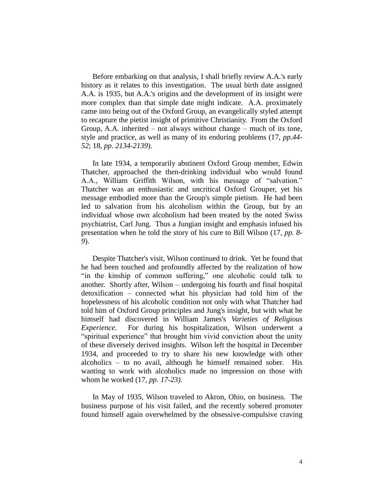Before embarking on that analysis, I shall briefly review A.A.'s early history as it relates to this investigation. The usual birth date assigned A.A. is 1935, but A.A.'s origins and the development of its insight were more complex than that simple date might indicate. A.A. proximately came into being out of the Oxford Group, an evangelically styled attempt to recapture the pietist insight of primitive Christianity. From the Oxford Group, A.A. inherited – not always without change – much of its tone, style and practice, as well as many of its enduring problems (17, *pp.44- 52*; 18, *pp. 2134-2139*).

In late 1934, a temporarily abstinent Oxford Group member, Edwin Thatcher, approached the then-drinking individual who would found A.A., William Griffith Wilson, with his message of "salvation." Thatcher was an enthusiastic and uncritical Oxford Grouper, yet his message embodied more than the Group's simple pietism. He had been led to salvation from his alcoholism within the Group, but by an individual whose own alcoholism had been treated by the noted Swiss psychiatrist, Carl Jung. Thus a Jungian insight and emphasis infused his presentation when he told the story of his cure to Bill Wilson (17, *pp. 8- 9*).

Despite Thatcher's visit, Wilson continued to drink. Yet he found that he had been touched and profoundly affected by the realization of how "in the kinship of common suffering," one alcoholic could talk to another. Shortly after, Wilson – undergoing his fourth and final hospital detoxification – connected what his physician had told him of the hopelessness of his alcoholic condition not only with what Thatcher had told him of Oxford Group principles and Jung's insight, but with what he himself had discovered in William James's *Varieties of Religious Experience*. For during his hospitalization, Wilson underwent a "spiritual experience" that brought him vivid conviction about the unity of these diversely derived insights. Wilson left the hospital in December 1934, and proceeded to try to share his new knowledge with other alcoholics – to no avail, although he himself remained sober. His wanting to work with alcoholics made no impression on those with whom he worked (17, *pp. 17-23)*.

In May of 1935, Wilson traveled to Akron, Ohio, on business. The business purpose of his visit failed, and the recently sobered promoter found himself again overwhelmed by the obsessive-compulsive craving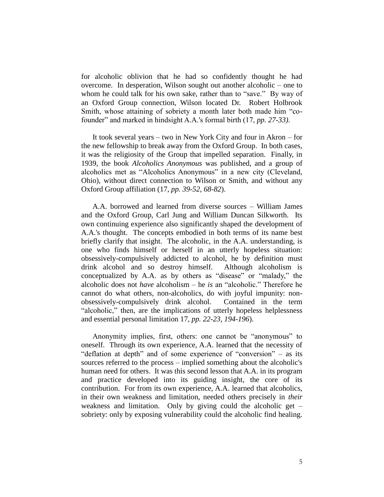for alcoholic oblivion that he had so confidently thought he had overcome. In desperation, Wilson sought out another alcoholic – one to whom he could talk for his own sake, rather than to "save." By way of an Oxford Group connection, Wilson located Dr. Robert Holbrook Smith, whose attaining of sobriety a month later both made him "cofounder" and marked in hindsight A.A.'s formal birth (17, *pp. 27-33)*.

It took several years – two in New York City and four in Akron – for the new fellowship to break away from the Oxford Group. In both cases, it was the religiosity of the Group that impelled separation. Finally, in 1939, the book *Alcoholics Anonymous* was published, and a group of alcoholics met as "Alcoholics Anonymous" in a new city (Cleveland, Ohio), without direct connection to Wilson or Smith, and without any Oxford Group affiliation (17, *pp. 39-52, 68-82*).

A.A. borrowed and learned from diverse sources – William James and the Oxford Group, Carl Jung and William Duncan Silkworth. Its own continuing experience also significantly shaped the development of A.A.'s thought. The concepts embodied in both terms of its name best briefly clarify that insight. The alcoholic, in the A.A. understanding, is one who finds himself or herself in an utterly hopeless situation: obsessively-compulsively addicted to alcohol, he by definition must drink alcohol and so destroy himself. Although alcoholism is conceptualized by A.A. as by others as "disease" or "malady," the alcoholic does not *have* alcoholism – he *is* an "alcoholic." Therefore he cannot do what others, non-alcoholics, do with joyful impunity: nonobsessively-compulsively drink alcohol. Contained in the term "alcoholic," then, are the implications of utterly hopeless helplessness and essential personal limitation 17, *pp. 22-23, 194-196*).

Anonymity implies, first, others: one cannot be "anonymous" to oneself. Through its own experience, A.A. learned that the necessity of "deflation at depth" and of some experience of "conversion" – as its sources referred to the process – implied something about the alcoholic's human need for others. It was this second lesson that A.A. in its program and practice developed into its guiding insight, the core of its contribution. For from its own experience, A.A. learned that alcoholics, in their own weakness and limitation, needed others precisely in *their* weakness and limitation. Only by giving could the alcoholic get – sobriety: only by exposing vulnerability could the alcoholic find healing.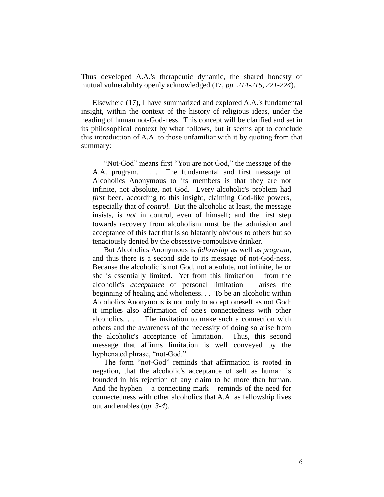Thus developed A.A.'s therapeutic dynamic, the shared honesty of mutual vulnerability openly acknowledged (17, *pp. 214-215, 221-224*).

Elsewhere (17), I have summarized and explored A.A.'s fundamental insight, within the context of the history of religious ideas, under the heading of human not-God-ness. This concept will be clarified and set in its philosophical context by what follows, but it seems apt to conclude this introduction of A.A. to those unfamiliar with it by quoting from that summary:

"Not-God" means first "You are not God," the message of the A.A. program. . . . The fundamental and first message of Alcoholics Anonymous to its members is that they are not infinite, not absolute, not God. Every alcoholic's problem had *first* been, according to this insight, claiming God-like powers, especially that of *control*. But the alcoholic at least, the message insists, is *not* in control, even of himself; and the first step towards recovery from alcoholism must be the admission and acceptance of this fact that is so blatantly obvious to others but so tenaciously denied by the obsessive-compulsive drinker.

But Alcoholics Anonymous is *fellowship* as well as *program*, and thus there is a second side to its message of not-God-ness. Because the alcoholic is not God, not absolute, not infinite, he or she is essentially limited. Yet from this limitation – from the alcoholic's *acceptance* of personal limitation – arises the beginning of healing and wholeness. . . To be an alcoholic within Alcoholics Anonymous is not only to accept oneself as not God; it implies also affirmation of one's connectedness with other alcoholics. . . . The invitation to make such a connection with others and the awareness of the necessity of doing so arise from the alcoholic's acceptance of limitation. Thus, this second message that affirms limitation is well conveyed by the hyphenated phrase, "not-God."

The form "not-God" reminds that affirmation is rooted in negation, that the alcoholic's acceptance of self as human is founded in his rejection of any claim to be more than human. And the hyphen – a connecting mark – reminds of the need for connectedness with other alcoholics that A.A. as fellowship lives out and enables (*pp. 3-4*).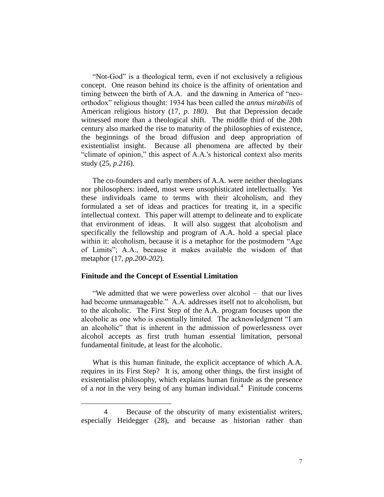"Not-God" is a theological term, even if not exclusively a religious concept. One reason behind its choice is the affinity of orientation and timing between the birth of A.A. and the dawning in America of "neoorthodox" religious thought: 1934 has been called the *annus mirabilis* of American religious history (17, *p. 180)*. But that Depression decade witnessed more than a theological shift. The middle third of the 20th century also marked the rise to maturity of the philosophies of existence, the beginnings of the broad diffusion and deep appropriation of existentialist insight. Because all phenomena are affected by their "climate of opinion," this aspect of A.A.'s historical context also merits study (25, *p.216*).

The co-founders and early members of A.A. were neither theologians nor philosophers: indeed, most were unsophisticated intellectually. Yet these individuals came to terms with their alcoholism, and they formulated a set of ideas and practices for treating it, in a specific intellectual context. This paper will attempt to delineate and to explicate that environment of ideas. It will also suggest that alcoholism and specifically the fellowship and program of A.A. hold a special place within it: alcoholism, because it is a metaphor for the postmodern "Age of Limits"; A.A., because it makes available the wisdom of that metaphor (17, *pp.200-202*).

## **Finitude and the Concept of Essential Limitation**

 $\overline{a}$ 

"We admitted that we were powerless over alcohol – that our lives had become unmanageable." A.A. addresses itself not to alcoholism, but to the alcoholic. The First Step of the A.A. program focuses upon the alcoholic as one who is essentially limited. The acknowledgment "I am an alcoholic" that is inherent in the admission of powerlessness over alcohol accepts as first truth human essential limitation, personal fundamental finitude, at least for the alcoholic.

What is this human finitude, the explicit acceptance of which A.A. requires in its First Step? It is, among other things, the first insight of existentialist philosophy, which explains human finitude as the presence of a *not* in the very being of any human individual.<sup>4</sup> Finitude concerns

<sup>4</sup> Because of the obscurity of many existentialist writers, especially Heidegger (28), and because as historian rather than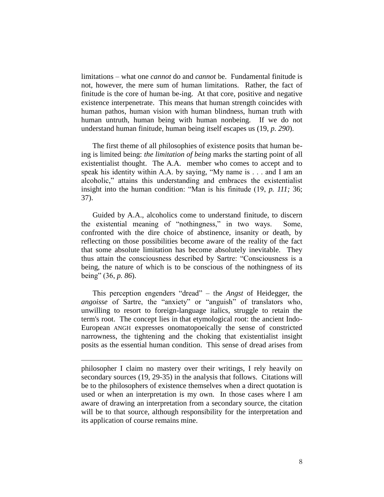limitations – what one *cannot* do and *cannot* be. Fundamental finitude is not, however, the mere sum of human limitations. Rather, the fact of finitude is the core of human be-ing. At that core, positive and negative existence interpenetrate. This means that human strength coincides with human pathos, human vision with human blindness, human truth with human untruth, human being with human nonbeing. If we do not understand human finitude, human being itself escapes us (19, *p. 290*).

The first theme of all philosophies of existence posits that human being is limited being: *the limitation of being* marks the starting point of all existentialist thought. The A.A. member who comes to accept and to speak his identity within A.A. by saying, "My name is . . . and I am an alcoholic," attains this understanding and embraces the existentialist insight into the human condition: "Man is his finitude (19, *p. 111;* 36; 37).

Guided by A.A., alcoholics come to understand finitude, to discern the existential meaning of "nothingness," in two ways. Some, confronted with the dire choice of abstinence, insanity or death, by reflecting on those possibilities become aware of the reality of the fact that some absolute limitation has become absolutely inevitable. They thus attain the consciousness described by Sartre: "Consciousness is a being, the nature of which is to be conscious of the nothingness of its being" (36, *p. 86*).

This perception engenders "dread" – the *Angst* of Heidegger, the *angoisse* of Sartre, the "anxiety" or "anguish" of translators who, unwilling to resort to foreign-language italics, struggle to retain the term's root. The concept lies in that etymological root: the ancient Indo-European ANGH expresses onomatopoeically the sense of constricted narrowness, the tightening and the choking that existentialist insight posits as the essential human condition. This sense of dread arises from

<u>.</u>

philosopher I claim no mastery over their writings, I rely heavily on secondary sources (19, 29-35) in the analysis that follows. Citations will be to the philosophers of existence themselves when a direct quotation is used or when an interpretation is my own. In those cases where I am aware of drawing an interpretation from a secondary source, the citation will be to that source, although responsibility for the interpretation and its application of course remains mine.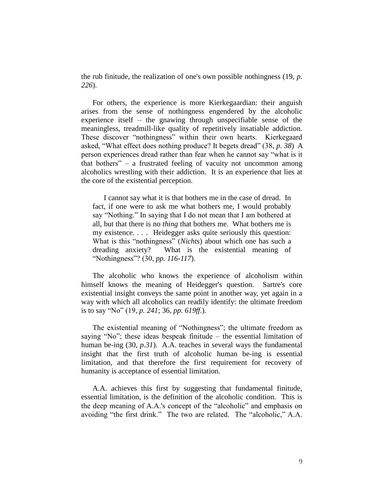the rub finitude, the realization of one's own possible nothingness (19, *p. 226*).

For others, the experience is more Kierkegaardian: their anguish arises from the sense of nothingness engendered by the alcoholic experience itself – the gnawing through unspecifiable sense of the meaningless, treadmill-like quality of repetitively insatiable addiction. These discover "nothingness" within their own hearts. Kierkegaard asked, "What effect does nothing produce? It begets dread" (38, *p. 38*) A person experiences dread rather than fear when he cannot say "what is it that bothers" – a frustrated feeling of vacuity not uncommon among alcoholics wrestling with their addiction. It is an experience that lies at the core of the existential perception.

I cannot say what it is that bothers me in the case of dread. In fact, if one were to ask me what bothers me, I would probably say "Nothing." In saying that I do not mean that I am bothered at all, but that there is no *thing* that bothers me. What bothers me is my existence. . . . Heidegger asks quite seriously this question: What is this "nothingness" (*Nichts*) about which one has such a dreading anxiety? What is the existential meaning of "Nothingness"? (30, *pp. 116-117*).

The alcoholic who knows the experience of alcoholism within himself knows the meaning of Heidegger's question. Sartre's core existential insight conveys the same point in another way, yet again in a way with which all alcoholics can readily identify: the ultimate freedom is to say "No" (19, *p. 241*; 36, *pp. 619ff*.).

The existential meaning of "Nothingness"; the ultimate freedom as saying "No"; these ideas bespeak finitude – the essential limitation of human be-ing (30, *p.31*). A.A. teaches in several ways the fundamental insight that the first truth of alcoholic human be-ing is essential limitation, and that therefore the first requirement for recovery of humanity is acceptance of essential limitation.

A.A. achieves this first by suggesting that fundamental finitude, essential limitation, is the definition of the alcoholic condition. This is the deep meaning of A.A.'s concept of the "alcoholic" and emphasis on avoiding "the first drink." The two are related. The "alcoholic," A.A.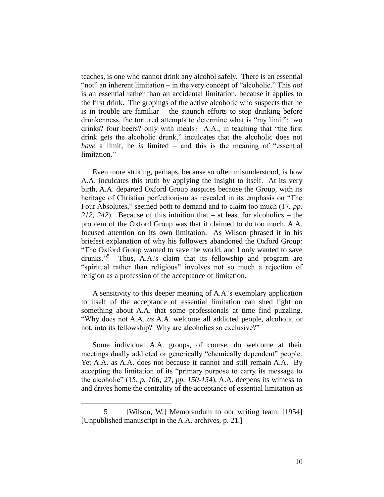teaches, is one who cannot drink any alcohol safely. There is an essential "not" an inherent limitation – in the very concept of "alcoholic." This *not* is an essential rather than an accidental limitation, because it applies to the first drink. The gropings of the active alcoholic who suspects that he is in trouble are familiar – the staunch efforts to stop drinking before drunkenness, the tortured attempts to determine what is "my limit": two drinks? four beers? only with meals? A.A., in teaching that "the first drink gets the alcoholic drunk," inculcates that the alcoholic does not *have* a limit, he *is* limited – and this is the meaning of "essential limitation."

Even more striking, perhaps, because so often misunderstood, is how A.A. inculcates this truth by applying the insight to itself. At its very birth, A.A. departed Oxford Group auspices because the Group, with its heritage of Christian perfectionism as revealed in its emphasis on "The Four Absolutes," seemed both to demand and to claim too much (17, *pp. 212, 242*). Because of this intuition that – at least for alcoholics – the problem of the Oxford Group was that it claimed to do too much, A.A. focused attention on its own limitation. As Wilson phrased it in his briefest explanation of why his followers abandoned the Oxford Group: "The Oxford Group wanted to save the world, and I only wanted to save drunks."<sup>5</sup> Thus, A.A.'s claim that its fellowship and program are "spiritual rather than religious" involves not so much a rejection of religion as a profession of the acceptance of limitation.

A sensitivity to this deeper meaning of A.A.'s exemplary application to itself of the acceptance of essential limitation can shed light on something about A.A. that some professionals at time find puzzling. "Why does not A.A. *as* A.A. welcome all addicted people, alcoholic or not, into its fellowship? Why are alcoholics so exclusive?"

Some individual A.A. groups, of course, do welcome at their meetings dually addicted or generically "chemically dependent" people. Yet A.A. as A.A. does not because it cannot and still remain A.A. By accepting the limitation of its "primary purpose to carry its message to the alcoholic" (15, *p. 106;* 27, *pp. 150-154*), A.A. deepens its witness to and drives home the centrality of the acceptance of essential limitation as

 $\overline{a}$ 

<sup>5</sup> [Wilson, W.] Memorandum to our writing team. [1954] [Unpublished manuscript in the A.A. archives, p. 21.]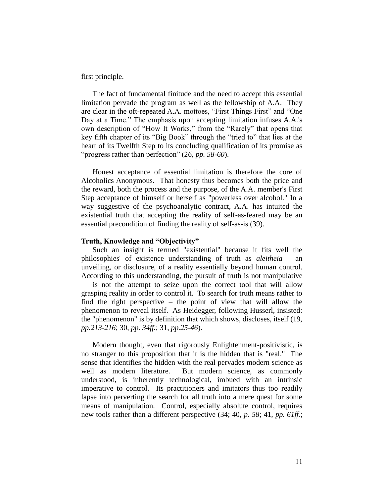first principle.

The fact of fundamental finitude and the need to accept this essential limitation pervade the program as well as the fellowship of A.A. They are clear in the oft-repeated A.A. mottoes, "First Things First" and "One Day at a Time." The emphasis upon accepting limitation infuses A.A.'s own description of "How It Works," from the "Rarely" that opens that key fifth chapter of its "Big Book" through the "tried to" that lies at the heart of its Twelfth Step to its concluding qualification of its promise as "progress rather than perfection" (26, *pp. 58-60*).

Honest acceptance of essential limitation is therefore the core of Alcoholics Anonymous. That honesty thus becomes both the price and the reward, both the process and the purpose, of the A.A. member's First Step acceptance of himself or herself as "powerless over alcohol." In a way suggestive of the psychoanalytic contract, A.A. has intuited the existential truth that accepting the reality of self-as-feared may be an essential precondition of finding the reality of self-as-is (39).

## **Truth, Knowledge and "Objectivity"**

Such an insight is termed "existential" because it fits well the philosophies' of existence understanding of truth as *aleitheia* – an unveiling, or disclosure, of a reality essentially beyond human control. According to this understanding, the pursuit of truth is not manipulative – is not the attempt to seize upon the correct tool that will allow grasping reality in order to control it. To search for truth means rather to find the right perspective – the point of view that will allow the phenomenon to reveal itself. As Heidegger, following Husserl, insisted: the "phenomenon" is by definition that which shows, discloses, itself (19, *pp.213-216*; 30, *pp. 34ff.*; 31, *pp.25-46*).

Modern thought, even that rigorously Enlightenment-positivistic, is no stranger to this proposition that it is the hidden that is "real." The sense that identifies the hidden with the real pervades modern science as well as modern literature. But modern science, as commonly understood, is inherently technological, imbued with an intrinsic imperative to control. Its practitioners and imitators thus too readily lapse into perverting the search for all truth into a mere quest for some means of manipulation. Control, especially absolute control, requires new tools rather than a different perspective (34; 40, *p. 58*; 41, *pp. 61ff.*;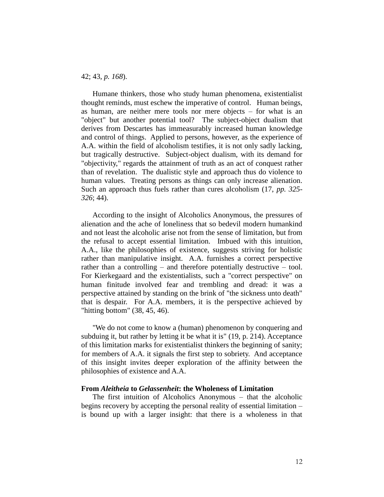#### 42; 43, *p. 168*).

Humane thinkers, those who study human phenomena, existentialist thought reminds, must eschew the imperative of control. Human beings, as human, are neither mere tools nor mere objects – for what is an "object" but another potential tool? The subject-object dualism that derives from Descartes has immeasurably increased human knowledge and control of things. Applied to persons, however, as the experience of A.A. within the field of alcoholism testifies, it is not only sadly lacking, but tragically destructive. Subject-object dualism, with its demand for "objectivity," regards the attainment of truth as an act of conquest rather than of revelation. The dualistic style and approach thus do violence to human values. Treating persons as things can only increase alienation. Such an approach thus fuels rather than cures alcoholism (17, *pp. 325- 326*; 44).

According to the insight of Alcoholics Anonymous, the pressures of alienation and the ache of loneliness that so bedevil modern humankind and not least the alcoholic arise not from the sense of limitation, but from the refusal to accept essential limitation. Imbued with this intuition, A.A., like the philosophies of existence, suggests striving for holistic rather than manipulative insight. A.A. furnishes a correct perspective rather than a controlling – and therefore potentially destructive – tool. For Kierkegaard and the existentialists, such a "correct perspective" on human finitude involved fear and trembling and dread: it was a perspective attained by standing on the brink of "the sickness unto death" that is despair. For A.A. members, it is the perspective achieved by "hitting bottom" (38, 45, 46).

"We do not come to know a (human) phenomenon by conquering and subduing it, but rather by letting it be what it is" (19, p. 214). Acceptance of this limitation marks for existentialist thinkers the beginning of sanity; for members of A.A. it signals the first step to sobriety. And acceptance of this insight invites deeper exploration of the affinity between the philosophies of existence and A.A.

### **From** *Aleitheia* **to** *Gelassenheit***: the Wholeness of Limitation**

The first intuition of Alcoholics Anonymous – that the alcoholic begins recovery by accepting the personal reality of essential limitation – is bound up with a larger insight: that there is a wholeness in that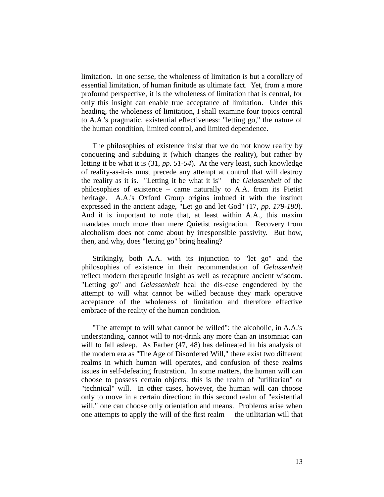limitation. In one sense, the wholeness of limitation is but a corollary of essential limitation, of human finitude as ultimate fact. Yet, from a more profound perspective, it is the wholeness of limitation that is central, for only this insight can enable true acceptance of limitation. Under this heading, the wholeness of limitation, I shall examine four topics central to A.A.'s pragmatic, existential effectiveness: "letting go," the nature of the human condition, limited control, and limited dependence.

The philosophies of existence insist that we do not know reality by conquering and subduing it (which changes the reality), but rather by letting it be what it is (31, *pp. 51-54*). At the very least, such knowledge of reality-as-it-is must precede any attempt at control that will destroy the reality as it is. "Letting it be what it is" – the *Gelassenheit* of the philosophies of existence – came naturally to A.A. from its Pietist heritage. A.A.'s Oxford Group origins imbued it with the instinct expressed in the ancient adage, "Let go and let God" (17, *pp. 179-180*). And it is important to note that, at least within A.A., this maxim mandates much more than mere Quietist resignation. Recovery from alcoholism does not come about by irresponsible passivity. But how, then, and why, does "letting go" bring healing?

Strikingly, both A.A. with its injunction to "let go" and the philosophies of existence in their recommendation of *Gelassenheit* reflect modern therapeutic insight as well as recapture ancient wisdom. "Letting go" and *Gelassenheit* heal the dis-ease engendered by the attempt to will what cannot be willed because they mark operative acceptance of the wholeness of limitation and therefore effective embrace of the reality of the human condition.

"The attempt to will what cannot be willed": the alcoholic, in A.A.'s understanding, cannot will to not-drink any more than an insomniac can will to fall asleep. As Farber (47, 48) has delineated in his analysis of the modern era as "The Age of Disordered Will," there exist two different realms in which human will operates, and confusion of these realms issues in self-defeating frustration. In some matters, the human will can choose to possess certain objects: this is the realm of "utilitarian" or "technical" will. In other cases, however, the human will can choose only to move in a certain direction: in this second realm of "existential will," one can choose only orientation and means. Problems arise when one attempts to apply the will of the first realm – the utilitarian will that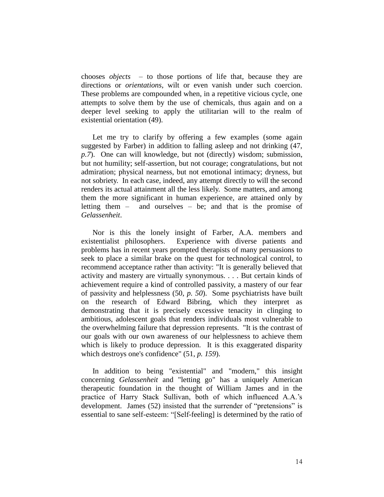chooses *objects* – to those portions of life that, because they are directions or *orientations*, wilt or even vanish under such coercion. These problems are compounded when, in a repetitive vicious cycle, one attempts to solve them by the use of chemicals, thus again and on a deeper level seeking to apply the utilitarian will to the realm of existential orientation (49).

Let me try to clarify by offering a few examples (some again suggested by Farber) in addition to falling asleep and not drinking (47, *p.7*). One can will knowledge, but not (directly) wisdom; submission, but not humility; self-assertion, but not courage; congratulations, but not admiration; physical nearness, but not emotional intimacy; dryness, but not sobriety. In each case, indeed, any attempt directly to will the second renders its actual attainment all the less likely. Some matters, and among them the more significant in human experience, are attained only by letting them – and ourselves – be; and that is the promise of *Gelassenheit*.

Nor is this the lonely insight of Farber, A.A. members and existentialist philosophers. Experience with diverse patients and problems has in recent years prompted therapists of many persuasions to seek to place a similar brake on the quest for technological control, to recommend acceptance rather than activity: "It is generally believed that activity and mastery are virtually synonymous. . . . But certain kinds of achievement require a kind of controlled passivity, a mastery of our fear of passivity and helplessness (50, *p. 50*). Some psychiatrists have built on the research of Edward Bibring, which they interpret as demonstrating that it is precisely excessive tenacity in clinging to ambitious, adolescent goals that renders individuals most vulnerable to the overwhelming failure that depression represents. "It is the contrast of our goals with our own awareness of our helplessness to achieve them which is likely to produce depression. It is this exaggerated disparity which destroys one's confidence" (51, *p. 159*).

In addition to being "existential" and "modern," this insight concerning *Gelassenheit* and "letting go" has a uniquely American therapeutic foundation in the thought of William James and in the practice of Harry Stack Sullivan, both of which influenced A.A.'s development. James (52) insisted that the surrender of "pretensions" is essential to sane self-esteem: "[Self-feeling] is determined by the ratio of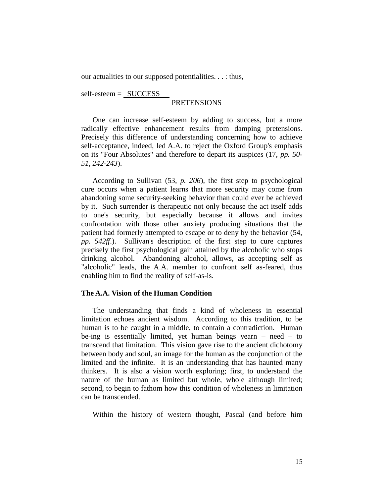our actualities to our supposed potentialities. . . : thus,

self-esteem = SUCCESS

# **PRETENSIONS**

One can increase self-esteem by adding to success, but a more radically effective enhancement results from damping pretensions. Precisely this difference of understanding concerning how to achieve self-acceptance, indeed, led A.A. to reject the Oxford Group's emphasis on its "Four Absolutes" and therefore to depart its auspices (17, *pp. 50- 51, 242-243*).

According to Sullivan (53, *p. 206*), the first step to psychological cure occurs when a patient learns that more security may come from abandoning some security-seeking behavior than could ever be achieved by it. Such surrender is therapeutic not only because the act itself adds to one's security, but especially because it allows and invites confrontation with those other anxiety producing situations that the patient had formerly attempted to escape or to deny by the behavior (54, *pp. 542ff*.). Sullivan's description of the first step to cure captures precisely the first psychological gain attained by the alcoholic who stops drinking alcohol. Abandoning alcohol, allows, as accepting self as "alcoholic" leads, the A.A. member to confront self as-feared, thus enabling him to find the reality of self-as-is.

# **The A.A. Vision of the Human Condition**

The understanding that finds a kind of wholeness in essential limitation echoes ancient wisdom. According to this tradition, to be human is to be caught in a middle, to contain a contradiction. Human be-ing is essentially limited, yet human beings yearn – need – to transcend that limitation. This vision gave rise to the ancient dichotomy between body and soul, an image for the human as the conjunction of the limited and the infinite. It is an understanding that has haunted many thinkers. It is also a vision worth exploring; first, to understand the nature of the human as limited but whole, whole although limited; second, to begin to fathom how this condition of wholeness in limitation can be transcended.

Within the history of western thought, Pascal (and before him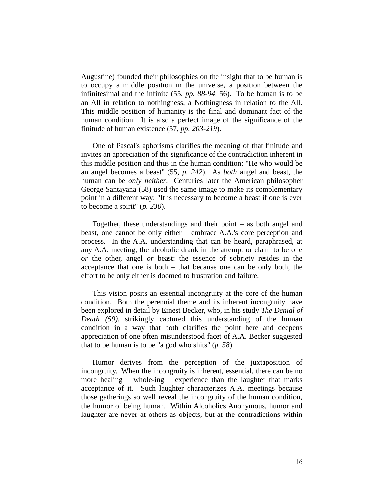Augustine) founded their philosophies on the insight that to be human is to occupy a middle position in the universe, a position between the infinitesimal and the infinite (55, *pp. 88-94*; 56). To be human is to be an All in relation to nothingness, a Nothingness in relation to the All. This middle position of humanity is the final and dominant fact of the human condition. It is also a perfect image of the significance of the finitude of human existence (57, *pp. 203-219*).

One of Pascal's aphorisms clarifies the meaning of that finitude and invites an appreciation of the significance of the contradiction inherent in this middle position and thus in the human condition: "He who would be an angel becomes a beast" (55, *p. 242*). As *both* angel and beast, the human can be *only neither*. Centuries later the American philosopher George Santayana (58) used the same image to make its complementary point in a different way: "It is necessary to become a beast if one is ever to become a spirit" (*p. 230*).

Together, these understandings and their point – as both angel and beast, one cannot be only either – embrace A.A.'s core perception and process. In the A.A. understanding that can be heard, paraphrased, at any A.A. meeting, the alcoholic drank in the attempt or claim to be one *or* the other, angel *or* beast: the essence of sobriety resides in the acceptance that one is both – that because one can be only both, the effort to be only either is doomed to frustration and failure.

This vision posits an essential incongruity at the core of the human condition. Both the perennial theme and its inherent incongruity have been explored in detail by Ernest Becker, who, in his study *The Denial of Death (59)*, strikingly captured this understanding of the human condition in a way that both clarifies the point here and deepens appreciation of one often misunderstood facet of A.A. Becker suggested that to be human is to be "a god who shits" (*p. 58*).

Humor derives from the perception of the juxtaposition of incongruity. When the incongruity is inherent, essential, there can be no more healing – whole-ing – experience than the laughter that marks acceptance of it. Such laughter characterizes A.A. meetings because those gatherings so well reveal the incongruity of the human condition, the humor of being human. Within Alcoholics Anonymous, humor and laughter are never at others as objects, but at the contradictions within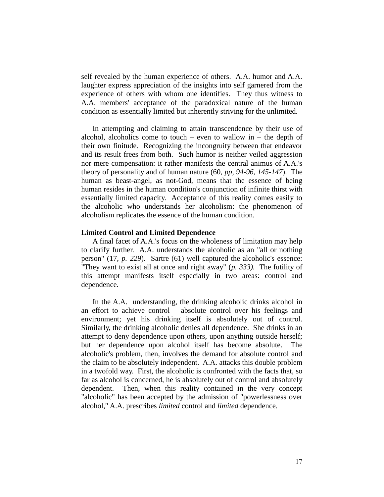self revealed by the human experience of others. A.A. humor and A.A. laughter express appreciation of the insights into self garnered from the experience of others with whom one identifies. They thus witness to A.A. members' acceptance of the paradoxical nature of the human condition as essentially limited but inherently striving for the unlimited.

In attempting and claiming to attain transcendence by their use of alcohol, alcoholics come to touch – even to wallow in – the depth of their own finitude. Recognizing the incongruity between that endeavor and its result frees from both. Such humor is neither veiled aggression nor mere compensation: it rather manifests the central animus of A.A.'s theory of personality and of human nature (60, *pp, 94-96, 145-147*). The human as beast-angel, as not-God, means that the essence of being human resides in the human condition's conjunction of infinite thirst with essentially limited capacity. Acceptance of this reality comes easily to the alcoholic who understands her alcoholism: the phenomenon of alcoholism replicates the essence of the human condition.

# **Limited Control and Limited Dependence**

A final facet of A.A.'s focus on the wholeness of limitation may help to clarify further. A.A. understands the alcoholic as an "all or nothing person" (17, *p. 229*). Sartre (61) well captured the alcoholic's essence: "They want to exist all at once and right away" (*p. 333).* The futility of this attempt manifests itself especially in two areas: control and dependence.

In the A.A. understanding, the drinking alcoholic drinks alcohol in an effort to achieve control – absolute control over his feelings and environment; yet his drinking itself is absolutely out of control. Similarly, the drinking alcoholic denies all dependence. She drinks in an attempt to deny dependence upon others, upon anything outside herself; but her dependence upon alcohol itself has become absolute. The alcoholic's problem, then, involves the demand for absolute control and the claim to be absolutely independent. A.A. attacks this double problem in a twofold way. First, the alcoholic is confronted with the facts that, so far as alcohol is concerned, he is absolutely out of control and absolutely dependent. Then, when this reality contained in the very concept "alcoholic" has been accepted by the admission of "powerlessness over alcohol," A.A. prescribes *limited* control and *limited* dependence.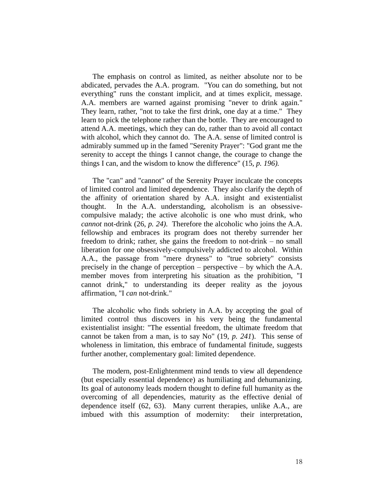The emphasis on control as limited, as neither absolute nor to be abdicated, pervades the A.A. program. "You can do something, but not everything" runs the constant implicit, and at times explicit, message. A.A. members are warned against promising "never to drink again." They learn, rather, "not to take the first drink, one day at a time." They learn to pick the telephone rather than the bottle. They are encouraged to attend A.A. meetings, which they can do, rather than to avoid all contact with alcohol, which they cannot do. The A.A. sense of limited control is admirably summed up in the famed "Serenity Prayer": "God grant me the serenity to accept the things I cannot change, the courage to change the things I can, and the wisdom to know the difference" (15, *p. 196).*

The "can" and "cannot" of the Serenity Prayer inculcate the concepts of limited control and limited dependence. They also clarify the depth of the affinity of orientation shared by A.A. insight and existentialist thought. In the A.A. understanding, alcoholism is an obsessivecompulsive malady; the active alcoholic is one who must drink, who *cannot* not-drink (26, *p. 24)*. Therefore the alcoholic who joins the A.A. fellowship and embraces its program does not thereby surrender her freedom to drink; rather, she gains the freedom to not-drink – no small liberation for one obsessively-compulsively addicted to alcohol. Within A.A., the passage from "mere dryness" to "true sobriety" consists precisely in the change of perception – perspective – by which the A.A. member moves from interpreting his situation as the prohibition, "I cannot drink," to understanding its deeper reality as the joyous affirmation, "I *can* not-drink."

The alcoholic who finds sobriety in A.A. by accepting the goal of limited control thus discovers in his very being the fundamental existentialist insight: "The essential freedom, the ultimate freedom that cannot be taken from a man, is to say No" (19, *p. 241*). This sense of wholeness in limitation, this embrace of fundamental finitude, suggests further another, complementary goal: limited dependence.

The modern, post-Enlightenment mind tends to view all dependence (but especially essential dependence) as humiliating and dehumanizing. Its goal of autonomy leads modern thought to define full humanity as the overcoming of all dependencies, maturity as the effective denial of dependence itself (62, 63). Many current therapies, unlike A.A., are imbued with this assumption of modernity: their interpretation,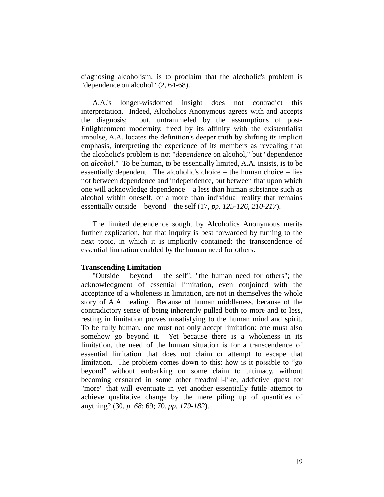diagnosing alcoholism, is to proclaim that the alcoholic's problem is "dependence on alcohol" (2, 64-68).

A.A.'s longer-wisdomed insight does not contradict this interpretation. Indeed, Alcoholics Anonymous agrees with and accepts the diagnosis; but, untrammeled by the assumptions of post-Enlightenment modernity, freed by its affinity with the existentialist impulse, A.A. locates the definition's deeper truth by shifting its implicit emphasis, interpreting the experience of its members as revealing that the alcoholic's problem is not "*dependence* on alcohol," but "dependence on *alcohol*." To be human, to be essentially limited, A.A. insists, is to be essentially dependent. The alcoholic's choice – the human choice – lies not between dependence and independence, but between that upon which one will acknowledge dependence – a less than human substance such as alcohol within oneself, or a more than individual reality that remains essentially outside – beyond – the self (17, *pp. 125-126, 210-217*).

The limited dependence sought by Alcoholics Anonymous merits further explication, but that inquiry is best forwarded by turning to the next topic, in which it is implicitly contained: the transcendence of essential limitation enabled by the human need for others.

# **Transcending Limitation**

"Outside – beyond – the self"; "the human need for others"; the acknowledgment of essential limitation, even conjoined with the acceptance of a wholeness in limitation, are not in themselves the whole story of A.A. healing. Because of human middleness, because of the contradictory sense of being inherently pulled both to more and to less, resting in limitation proves unsatisfying to the human mind and spirit. To be fully human, one must not only accept limitation: one must also somehow go beyond it. Yet because there is a wholeness in its limitation, the need of the human situation is for a transcendence of essential limitation that does not claim or attempt to escape that limitation. The problem comes down to this: how is it possible to "go beyond" without embarking on some claim to ultimacy, without becoming ensnared in some other treadmill-like, addictive quest for "more" that will eventuate in yet another essentially futile attempt to achieve qualitative change by the mere piling up of quantities of anything? (30, *p. 68*; 69; 70, *pp. 179-182*).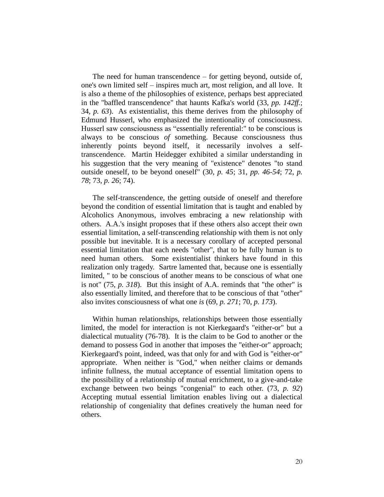The need for human transcendence – for getting beyond, outside of, one's own limited self – inspires much art, most religion, and all love. It is also a theme of the philosophies of existence, perhaps best appreciated in the "baffled transcendence" that haunts Kafka's world (33, *pp. 142ff.*; 34, *p. 63*). As existentialist, this theme derives from the philosophy of Edmund Husserl, who emphasized the intentionality of consciousness. Husserl saw consciousness as "essentially referential:" to be conscious is always to be conscious *of* something. Because consciousness thus inherently points beyond itself, it necessarily involves a selftranscendence. Martin Heidegger exhibited a similar understanding in his suggestion that the very meaning of "existence" denotes "to stand outside oneself, to be beyond oneself" (30, *p. 45*; 31, *pp. 46-54*; 72, *p. 78*; 73, *p. 26*; 74).

The self-transcendence, the getting outside of oneself and therefore beyond the condition of essential limitation that is taught and enabled by Alcoholics Anonymous, involves embracing a new relationship with others. A.A.'s insight proposes that if these others also accept their own essential limitation, a self-transcending relationship with them is not only possible but inevitable. It is a necessary corollary of accepted personal essential limitation that each needs "other", that to be fully human is to need human others. Some existentialist thinkers have found in this realization only tragedy. Sartre lamented that, because one is essentially limited, " to be conscious of another means to be conscious of what one is not" (75, *p. 318*). But this insight of A.A. reminds that "the other" is also essentially limited, and therefore that to be conscious of that "other" also invites consciousness of what one *is* (69, *p. 271*; 70, *p. 173*).

Within human relationships, relationships between those essentially limited, the model for interaction is not Kierkegaard's "either-or" but a dialectical mutuality (76-78). It is the claim to be God to another or the demand to possess God in another that imposes the "either-or" approach; Kierkegaard's point, indeed, was that only for and with God is "either-or" appropriate. When neither is "God," when neither claims or demands infinite fullness, the mutual acceptance of essential limitation opens to the possibility of a relationship of mutual enrichment, to a give-and-take exchange between two beings "congenial" to each other. (73, *p. 92*) Accepting mutual essential limitation enables living out a dialectical relationship of congeniality that defines creatively the human need for others.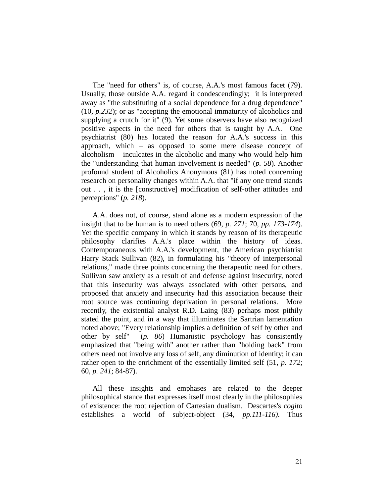The "need for others" is, of course, A.A.'s most famous facet (79). Usually, those outside A.A. regard it condescendingly; it is interpreted away as "the substituting of a social dependence for a drug dependence" (10, *p.232*); or as "accepting the emotional immaturity of alcoholics and supplying a crutch for it" (9). Yet some observers have also recognized positive aspects in the need for others that is taught by A.A. One psychiatrist (80) has located the reason for A.A.'s success in this approach, which – as opposed to some mere disease concept of alcoholism – inculcates in the alcoholic and many who would help him the "understanding that human involvement is needed" (*p. 58*). Another profound student of Alcoholics Anonymous (81) has noted concerning research on personality changes within A.A. that "if any one trend stands out . . , it is the [constructive] modification of self-other attitudes and perceptions" (*p. 218*).

A.A. does not, of course, stand alone as a modern expression of the insight that to be human is to need others (69, *p. 271*; 70, *pp. 173-174*). Yet the specific company in which it stands by reason of its therapeutic philosophy clarifies A.A.'s place within the history of ideas. Contemporaneous with A.A.'s development, the American psychiatrist Harry Stack Sullivan (82), in formulating his "theory of interpersonal relations," made three points concerning the therapeutic need for others. Sullivan saw anxiety as a result of and defense against insecurity, noted that this insecurity was always associated with other persons, and proposed that anxiety and insecurity had this association because their root source was continuing deprivation in personal relations. More recently, the existential analyst R.D. Laing (83) perhaps most pithily stated the point, and in a way that illuminates the Sartrian lamentation noted above; "Every relationship implies a definition of self by other and other by self" (*p. 86*) Humanistic psychology has consistently emphasized that "being with" another rather than "holding back" from others need not involve any loss of self, any diminution of identity; it can rather open to the enrichment of the essentially limited self (51, *p. 172*; 60, *p. 241*; 84-87).

All these insights and emphases are related to the deeper philosophical stance that expresses itself most clearly in the philosophies of existence: the root rejection of Cartesian dualism. Descartes's *cogito* establishes a world of subject-object (34, *pp.111-116)*. Thus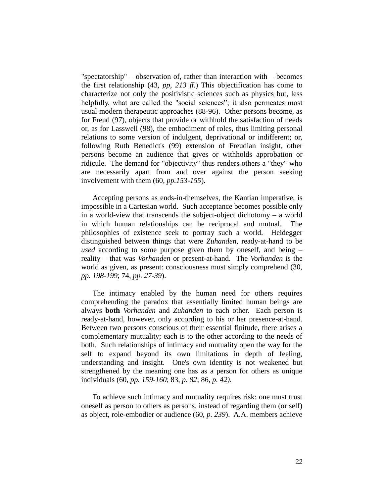"spectatorship" – observation of, rather than interaction with – becomes the first relationship (43, *pp, 213 ff.*) This objectification has come to characterize not only the positivistic sciences such as physics but, less helpfully, what are called the "social sciences"; it also permeates most usual modern therapeutic approaches (88-96). Other persons become, as for Freud (97), objects that provide or withhold the satisfaction of needs or, as for Lasswell (98), the embodiment of roles, thus limiting personal relations to some version of indulgent, deprivational or indifferent; or, following Ruth Benedict's (99) extension of Freudian insight, other persons become an audience that gives or withholds approbation or ridicule. The demand for "objectivity" thus renders others a "they" who are necessarily apart from and over against the person seeking involvement with them (60, *pp.153-155*).

Accepting persons as ends-in-themselves, the Kantian imperative, is impossible in a Cartesian world. Such acceptance becomes possible only in a world-view that transcends the subject-object dichotomy  $-$  a world in which human relationships can be reciprocal and mutual. The philosophies of existence seek to portray such a world. Heidegger distinguished between things that were *Zuhanden*, ready-at-hand to be *used* according to some purpose given them by oneself, and being – reality – that was *Vorhanden* or present-at-hand. The *Vorhanden* is the world as given, as present: consciousness must simply comprehend (30, *pp. 198-199*; 74, *pp. 27-39*).

The intimacy enabled by the human need for others requires comprehending the paradox that essentially limited human beings are always **both** *Vorhanden* and *Zuhanden* to each other. Each person is ready-at-hand, however, only according to his or her presence-at-hand. Between two persons conscious of their essential finitude, there arises a complementary mutuality; each is to the other according to the needs of both. Such relationships of intimacy and mutuality open the way for the self to expand beyond its own limitations in depth of feeling, understanding and insight. One's own identity is not weakened but strengthened by the meaning one has as a person for others as unique individuals (60, *pp. 159-160*; 83, *p. 82*; 86, *p. 42)*.

To achieve such intimacy and mutuality requires risk: one must trust oneself as person to others as persons, instead of regarding them (or self) as object, role-embodier or audience (60, *p. 239*). A.A. members achieve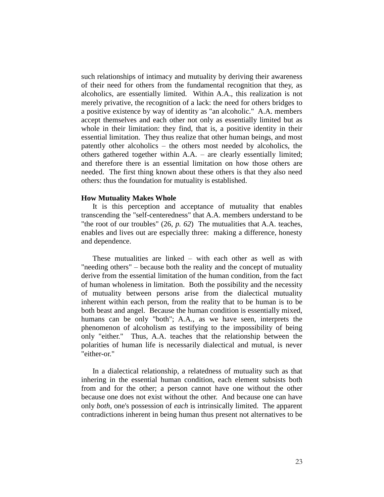such relationships of intimacy and mutuality by deriving their awareness of their need for others from the fundamental recognition that they, as alcoholics, are essentially limited. Within A.A., this realization is not merely privative, the recognition of a lack: the need for others bridges to a positive existence by way of identity as "an alcoholic." A.A. members accept themselves and each other not only as essentially limited but as whole in their limitation: they find, that is, a positive identity in their essential limitation. They thus realize that other human beings, and most patently other alcoholics – the others most needed by alcoholics, the others gathered together within A.A. – are clearly essentially limited; and therefore there is an essential limitation on how those others are needed. The first thing known about these others is that they also need others: thus the foundation for mutuality is established.

### **How Mutuality Makes Whole**

It is this perception and acceptance of mutuality that enables transcending the "self-centeredness" that A.A. members understand to be "the root of our troubles" (26, *p. 62*) The mutualities that A.A. teaches, enables and lives out are especially three: making a difference, honesty and dependence.

These mutualities are linked – with each other as well as with "needing others" – because both the reality and the concept of mutuality derive from the essential limitation of the human condition, from the fact of human wholeness in limitation. Both the possibility and the necessity of mutuality between persons arise from the dialectical mutuality inherent within each person, from the reality that to be human is to be both beast and angel. Because the human condition is essentially mixed, humans can be only "both"; A.A., as we have seen, interprets the phenomenon of alcoholism as testifying to the impossibility of being only "either." Thus, A.A. teaches that the relationship between the polarities of human life is necessarily dialectical and mutual, is never "either-or."

In a dialectical relationship, a relatedness of mutuality such as that inhering in the essential human condition, each element subsists both from and for the other; a person cannot have one without the other because one does not exist without the other. And because one can have only *both*, one's possession of *each* is intrinsically limited. The apparent contradictions inherent in being human thus present not alternatives to be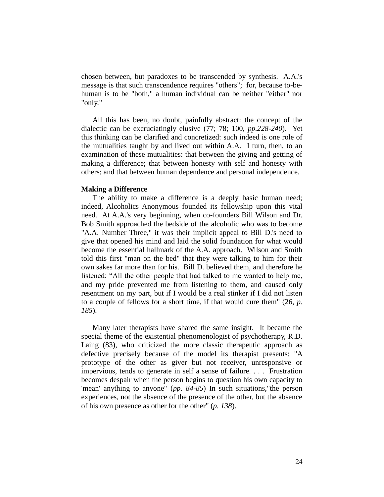chosen between, but paradoxes to be transcended by synthesis. A.A.'s message is that such transcendence requires "others"; for, because to-behuman is to be "both," a human individual can be neither "either" nor "only."

All this has been, no doubt, painfully abstract: the concept of the dialectic can be excruciatingly elusive (77; 78; 100, *pp.228-240*). Yet this thinking can be clarified and concretized: such indeed is one role of the mutualities taught by and lived out within A.A. I turn, then, to an examination of these mutualities: that between the giving and getting of making a difference; that between honesty with self and honesty with others; and that between human dependence and personal independence.

# **Making a Difference**

The ability to make a difference is a deeply basic human need; indeed, Alcoholics Anonymous founded its fellowship upon this vital need. At A.A.'s very beginning, when co-founders Bill Wilson and Dr. Bob Smith approached the bedside of the alcoholic who was to become "A.A. Number Three," it was their implicit appeal to Bill D.'s need to give that opened his mind and laid the solid foundation for what would become the essential hallmark of the A.A. approach. Wilson and Smith told this first "man on the bed" that they were talking to him for their own sakes far more than for his. Bill D. believed them, and therefore he listened: "All the other people that had talked to me wanted to help me, and my pride prevented me from listening to them, and caused only resentment on my part, but if I would be a real stinker if I did not listen to a couple of fellows for a short time, if that would cure them" (26, *p. 185*).

Many later therapists have shared the same insight. It became the special theme of the existential phenomenologist of psychotherapy, R.D. Laing (83), who criticized the more classic therapeutic approach as defective precisely because of the model its therapist presents: "A prototype of the other as giver but not receiver, unresponsive or impervious, tends to generate in self a sense of failure. . . . Frustration becomes despair when the person begins to question his own capacity to 'mean' anything to anyone" (*pp. 84-85*) In such situations,"the person experiences, not the absence of the presence of the other, but the absence of his own presence as other for the other" (*p. 138*).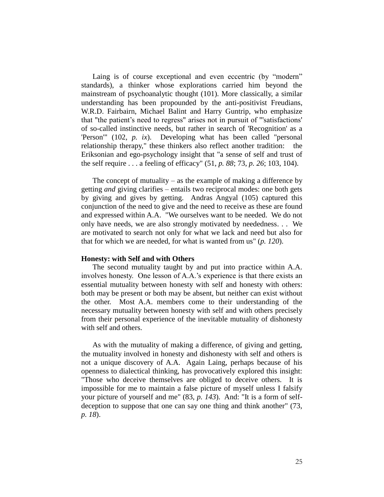Laing is of course exceptional and even eccentric (by "modern" standards), a thinker whose explorations carried him beyond the mainstream of psychoanalytic thought (101). More classically, a similar understanding has been propounded by the anti-positivist Freudians, W.R.D. Fairbairn, Michael Balint and Harry Guntrip, who emphasize that "the patient's need to regress" arises not in pursuit of "'satisfactions' of so-called instinctive needs, but rather in search of 'Recognition' as a 'Person'" (102, *p. ix*). Developing what has been called "personal relationship therapy," these thinkers also reflect another tradition: the Eriksonian and ego-psychology insight that "a sense of self and trust of the self require . . . a feeling of efficacy" (51, *p. 88*; 73, *p. 26*; 103, 104).

The concept of mutuality – as the example of making a difference by getting *and* giving clarifies – entails two reciprocal modes: one both gets by giving and gives by getting. Andras Angyal (105) captured this conjunction of the need to give and the need to receive as these are found and expressed within A.A. "We ourselves want to be needed. We do not only have needs, we are also strongly motivated by neededness. . . We are motivated to search not only for what we lack and need but also for that for which we are needed, for what is wanted from us" (*p. 120*).

# **Honesty: with Self and with Others**

The second mutuality taught by and put into practice within A.A. involves honesty. One lesson of A.A.'s experience is that there exists an essential mutuality between honesty with self and honesty with others: both may be present or both may be absent, but neither can exist without the other. Most A.A. members come to their understanding of the necessary mutuality between honesty with self and with others precisely from their personal experience of the inevitable mutuality of dishonesty with self and others.

As with the mutuality of making a difference, of giving and getting, the mutuality involved in honesty and dishonesty with self and others is not a unique discovery of A.A. Again Laing, perhaps because of his openness to dialectical thinking, has provocatively explored this insight: "Those who deceive themselves are obliged to deceive others. It is impossible for me to maintain a false picture of myself unless I falsify your picture of yourself and me" (83, *p. 143*). And: "It is a form of selfdeception to suppose that one can say one thing and think another" (73, *p. 18*).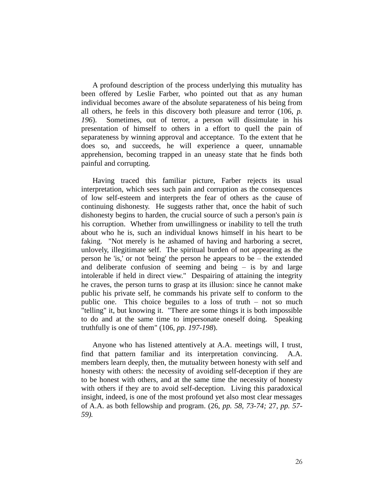A profound description of the process underlying this mutuality has been offered by Leslie Farber, who pointed out that as any human individual becomes aware of the absolute separateness of his being from all others, he feels in this discovery both pleasure and terror (106, *p. 196*). Sometimes, out of terror, a person will dissimulate in his presentation of himself to others in a effort to quell the pain of separateness by winning approval and acceptance. To the extent that he does so, and succeeds, he will experience a queer, unnamable apprehension, becoming trapped in an uneasy state that he finds both painful and corrupting.

Having traced this familiar picture, Farber rejects its usual interpretation, which sees such pain and corruption as the consequences of low self-esteem and interprets the fear of others as the cause of continuing dishonesty. He suggests rather that, once the habit of such dishonesty begins to harden, the crucial source of such a person's pain *is* his corruption. Whether from unwillingness or inability to tell the truth about who he is, such an individual knows himself in his heart to be faking. "Not merely is he ashamed of having and harboring a secret, unlovely, illegitimate self. The spiritual burden of not appearing as the person he 'is,' or not 'being' the person he appears to be – the extended and deliberate confusion of seeming and being – is by and large intolerable if held in direct view." Despairing of attaining the integrity he craves, the person turns to grasp at its illusion: since he cannot make public his private self, he commands his private self to conform to the public one. This choice beguiles to a loss of truth – not so much "telling" it, but knowing it. "There are some things it is both impossible to do and at the same time to impersonate oneself doing. Speaking truthfully is one of them" (106, *pp. 197-198*).

Anyone who has listened attentively at A.A. meetings will, I trust, find that pattern familiar and its interpretation convincing. A.A. members learn deeply, then, the mutuality between honesty with self and honesty with others: the necessity of avoiding self-deception if they are to be honest with others, and at the same time the necessity of honesty with others if they are to avoid self-deception. Living this paradoxical insight, indeed, is one of the most profound yet also most clear messages of A.A. as both fellowship and program. (26, *pp. 58, 73-74;* 27, *pp. 57- 59).*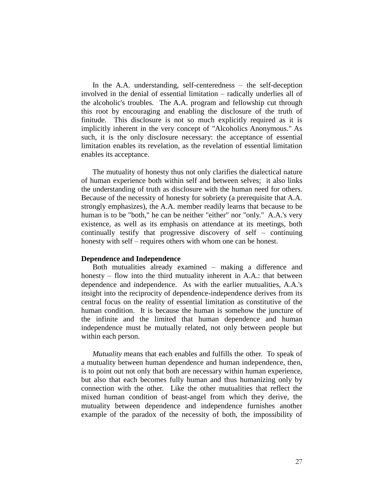In the A.A. understanding, self-centeredness – the self-deception involved in the denial of essential limitation – radically underlies all of the alcoholic's troubles. The A.A. program and fellowship cut through this root by encouraging and enabling the disclosure of the truth of finitude. This disclosure is not so much explicitly required as it is implicitly inherent in the very concept of "Alcoholics Anonymous." As such, it is the only disclosure necessary: the acceptance of essential limitation enables its revelation, as the revelation of essential limitation enables its acceptance.

The mutuality of honesty thus not only clarifies the dialectical nature of human experience both within self and between selves; it also links the understanding of truth as disclosure with the human need for others. Because of the necessity of honesty for sobriety (a prerequisite that A.A. strongly emphasizes), the A.A. member readily learns that because to be human is to be "both," he can be neither "either" nor "only." A.A.'s very existence, as well as its emphasis on attendance at its meetings, both continually testify that progressive discovery of self – continuing honesty with self – requires others with whom one can be honest.

#### **Dependence and Independence**

Both mutualities already examined – making a difference and honesty – flow into the third mutuality inherent in A.A.: that between dependence and independence. As with the earlier mutualities, A.A.'s insight into the reciprocity of dependence-independence derives from its central focus on the reality of essential limitation as constitutive of the human condition. It is because the human is somehow the juncture of the infinite and the limited that human dependence and human independence must be mutually related, not only between people but within each person.

*Mutuality* means that each enables and fulfills the other. To speak of a mutuality between human dependence and human independence, then, is to point out not only that both are necessary within human experience, but also that each becomes fully human and thus humanizing only by connection with the other. Like the other mutualities that reflect the mixed human condition of beast-angel from which they derive, the mutuality between dependence and independence furnishes another example of the paradox of the necessity of both, the impossibility of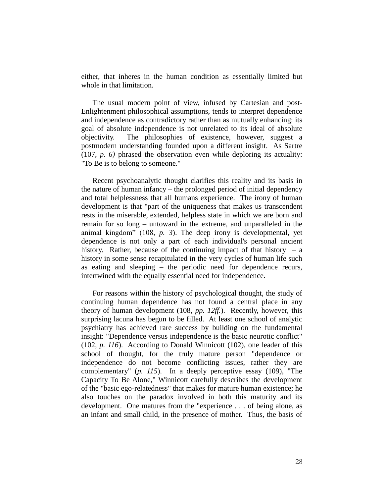either, that inheres in the human condition as essentially limited but whole in that limitation.

The usual modern point of view, infused by Cartesian and post-Enlightenment philosophical assumptions, tends to interpret dependence and independence as contradictory rather than as mutually enhancing: its goal of absolute independence is not unrelated to its ideal of absolute objectivity. The philosophies of existence, however, suggest a postmodern understanding founded upon a different insight. As Sartre (107, *p. 6)* phrased the observation even while deploring its actuality: "To Be is to belong to someone."

Recent psychoanalytic thought clarifies this reality and its basis in the nature of human infancy – the prolonged period of initial dependency and total helplessness that all humans experience. The irony of human development is that "part of the uniqueness that makes us transcendent rests in the miserable, extended, helpless state in which we are born and remain for so long – untoward in the extreme, and unparalleled in the animal kingdom" (108, *p. 3*). The deep irony is developmental, yet dependence is not only a part of each individual's personal ancient history. Rather, because of the continuing impact of that history  $-$  a history in some sense recapitulated in the very cycles of human life such as eating and sleeping – the periodic need for dependence recurs, intertwined with the equally essential need for independence.

For reasons within the history of psychological thought, the study of continuing human dependence has not found a central place in any theory of human development (108, *pp. 12ff.*). Recently, however, this surprising lacuna has begun to be filled. At least one school of analytic psychiatry has achieved rare success by building on the fundamental insight: "Dependence versus independence is the basic neurotic conflict" (102, *p. 116*). According to Donald Winnicott (102), one leader of this school of thought, for the truly mature person "dependence or independence do not become conflicting issues, rather they are complementary" (*p. 115*). In a deeply perceptive essay (109), "The Capacity To Be Alone," Winnicott carefully describes the development of the "basic ego-relatedness" that makes for mature human existence; he also touches on the paradox involved in both this maturity and its development. One matures from the "experience . . . of being alone, as an infant and small child, in the presence of mother. Thus, the basis of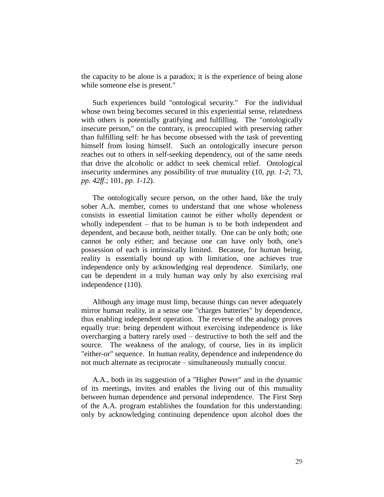the capacity to be alone is a paradox; it is the experience of being alone while someone else is present."

Such experiences build "ontological security." For the individual whose own being becomes secured in this experiential sense, relatedness with others is potentially gratifying and fulfilling. The "ontologically insecure person," on the contrary, is preoccupied with preserving rather than fulfilling self: he has become obsessed with the task of preventing himself from losing himself. Such an ontologically insecure person reaches out to others in self-seeking dependency, out of the same needs that drive the alcoholic or addict to seek chemical relief. Ontological insecurity undermines any possibility of true mutuality (10, *pp. 1-2*; 73, *pp. 42ff.*; 101, *pp. 1-12*).

The ontologically secure person, on the other hand, like the truly sober A.A. member, comes to understand that one whose wholeness consists in essential limitation cannot be either wholly dependent or wholly independent – that to be human is to be both independent and dependent, and because both, neither totally. One can be only both; one cannot be only either; and because one can have only both, one's possession of each is intrinsically limited. Because, for human being, reality is essentially bound up with limitation, one achieves true independence only by acknowledging real dependence. Similarly, one can be dependent in a truly human way only by also exercising real independence (110).

Although any image must limp, because things can never adequately mirror human reality, in a sense one "charges batteries" by dependence, thus enabling independent operation. The reverse of the analogy proves equally true: being dependent without exercising independence is like overcharging a battery rarely used – destructive to both the self and the source. The weakness of the analogy, of course, lies in its implicit "either-or" sequence. In human reality, dependence and independence do not much alternate as reciprocate – simultaneously mutually concur.

A.A., both in its suggestion of a "Higher Power" and in the dynamic of its meetings, invites and enables the living out of this mutuality between human dependence and personal independence. The First Step of the A.A. program establishes the foundation for this understanding: only by acknowledging continuing dependence upon alcohol does the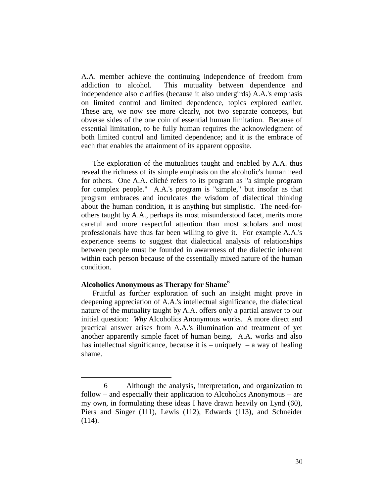A.A. member achieve the continuing independence of freedom from addiction to alcohol. This mutuality between dependence and independence also clarifies (because it also undergirds) A.A.'s emphasis on limited control and limited dependence, topics explored earlier. These are, we now see more clearly, not two separate concepts, but obverse sides of the one coin of essential human limitation. Because of essential limitation, to be fully human requires the acknowledgment of both limited control and limited dependence; and it is the embrace of each that enables the attainment of its apparent opposite.

The exploration of the mutualities taught and enabled by A.A. thus reveal the richness of its simple emphasis on the alcoholic's human need for others. One A.A. cliché refers to its program as "a simple program for complex people." A.A.'s program is "simple," but insofar as that program embraces and inculcates the wisdom of dialectical thinking about the human condition, it is anything but simplistic. The need-forothers taught by A.A., perhaps its most misunderstood facet, merits more careful and more respectful attention than most scholars and most professionals have thus far been willing to give it. For example A.A.'s experience seems to suggest that dialectical analysis of relationships between people must be founded in awareness of the dialectic inherent within each person because of the essentially mixed nature of the human condition.

# **Alcoholics Anonymous as Therapy for Shame**<sup>6</sup>

 $\overline{a}$ 

Fruitful as further exploration of such an insight might prove in deepening appreciation of A.A.'s intellectual significance, the dialectical nature of the mutuality taught by A.A. offers only a partial answer to our initial question: *Why* Alcoholics Anonymous works. A more direct and practical answer arises from A.A.'s illumination and treatment of yet another apparently simple facet of human being. A.A. works and also has intellectual significance, because it is – uniquely – a way of healing shame.

<sup>6</sup> Although the analysis, interpretation, and organization to follow – and especially their application to Alcoholics Anonymous – are my own, in formulating these ideas I have drawn heavily on Lynd (60), Piers and Singer (111), Lewis (112), Edwards (113), and Schneider (114).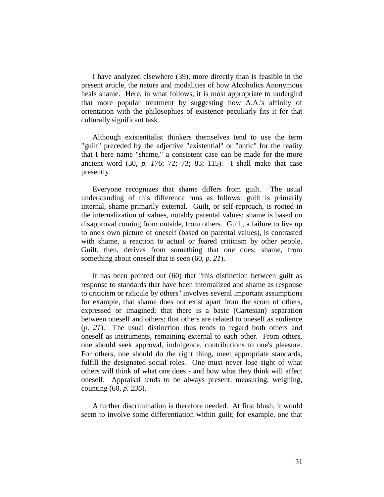I have analyzed elsewhere (39), more directly than is feasible in the present article, the nature and modalities of how Alcoholics Anonymous heals shame. Here, in what follows, it is most appropriate to undergird that more popular treatment by suggesting how A.A.'s affinity of orientation with the philosophies of existence peculiarly fits it for that culturally significant task.

Although existentialist thinkers themselves tend to use the term "guilt" preceded by the adjective "existential" or "ontic" for the reality that I here name "shame," a consistent case can be made for the more ancient word (30, *p. 176*; 72; 73; 83; 115). I shall make that case presently.

Everyone recognizes that shame differs from guilt. The usual understanding of this difference runs as follows: guilt is primarily internal, shame primarily external. Guilt, or self-reproach, is rooted in the internalization of values, notably parental values; shame is based on disapproval coming from outside, from others. Guilt, a failure to live up to one's own picture of oneself (based on parental values), is contrasted with shame, a reaction to actual or feared criticism by other people. Guilt, then, derives from something that one does; shame, from something about oneself that is seen (60, *p. 21*).

It has been pointed out (60) that "this distinction between guilt as response to standards that have been internalized and shame as response to criticism or ridicule by others" involves several important assumptions for example, that shame does not exist apart from the scorn of others, expressed or imagined; that there is a basic (Cartesian) separation between oneself and others; that others are related to oneself as audience (*p. 21*). The usual distinction thus tends to regard both others and oneself as instruments, remaining external to each other. From others, one should seek approval, indulgence, contributions to one's pleasure. For others, one should do the right thing, meet appropriate standards, fulfill the designated social roles. One must never lose sight of what others will think of what one does - and how what they think will affect oneself. Appraisal tends to be always present; measuring, weighing, counting (60, *p. 236*).

A further discrimination is therefore needed. At first blush, it would seem to involve some differentiation within guilt; for example, one that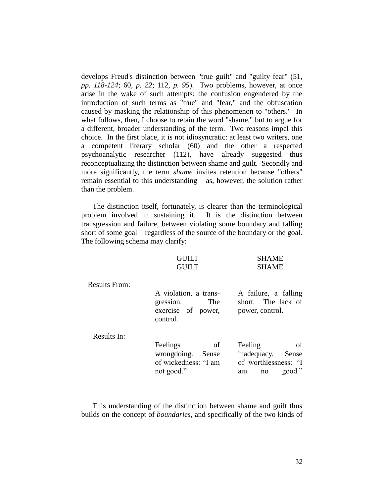develops Freud's distinction between "true guilt" and "guilty fear" (51, *pp. 118-124*; 60, *p. 22*; 112, *p. 95*). Two problems, however, at once arise in the wake of such attempts: the confusion engendered by the introduction of such terms as "true" and "fear," and the obfuscation caused by masking the relationship of this phenomenon to "others." In what follows, then, I choose to retain the word "shame," but to argue for a different, broader understanding of the term. Two reasons impel this choice. In the first place, it is not idiosyncratic: at least two writers, one a competent literary scholar (60) and the other a respected psychoanalytic researcher (112), have already suggested thus reconceptualizing the distinction between shame and guilt. Secondly and more significantly, the term *shame* invites retention because "others" remain essential to this understanding – as, however, the solution rather than the problem.

The distinction itself, fortunately, is clearer than the terminological problem involved in sustaining it. It is the distinction between transgression and failure, between violating some boundary and falling short of some goal – regardless of the source of the boundary or the goal. The following schema may clarify:

|                      | GUILT<br><b>GUILT</b>                                                        | <b>SHAME</b><br><b>SHAME</b>                                                        |
|----------------------|------------------------------------------------------------------------------|-------------------------------------------------------------------------------------|
| <b>Results From:</b> |                                                                              |                                                                                     |
|                      | A violation, a trans-<br>gression.<br>The<br>exercise of power,<br>control.  | A failure, a falling<br>short. The lack of<br>power, control.                       |
| Results In:          |                                                                              |                                                                                     |
|                      | Feelings<br>of<br>wrongdoing.<br>Sense<br>of wickedness: "I am<br>not good." | Feeling<br>οf<br>inadequacy.<br>Sense<br>of worthlessness: "I<br>good."<br>am<br>no |

This understanding of the distinction between shame and guilt thus builds on the concept of *boundaries*, and specifically of the two kinds of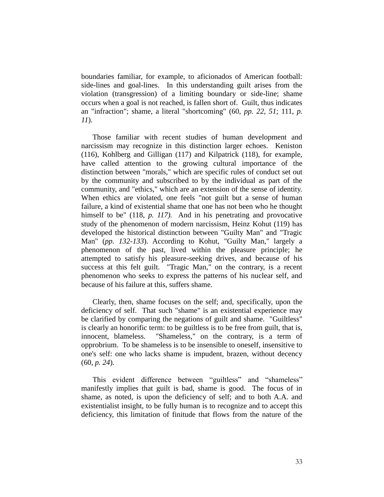boundaries familiar, for example, to aficionados of American football: side-lines and goal-lines. In this understanding guilt arises from the violation (transgression) of a limiting boundary or side-line; shame occurs when a goal is not reached, is fallen short of. Guilt, thus indicates an "infraction"; shame, a literal "shortcoming" (60, *pp. 22, 51*; 111, *p. 11*).

Those familiar with recent studies of human development and narcissism may recognize in this distinction larger echoes. Keniston (116), Kohlberg and Gilligan (117) and Kilpatrick (118), for example, have called attention to the growing cultural importance of the distinction between "morals," which are specific rules of conduct set out by the community and subscribed to by the individual as part of the community, and "ethics," which are an extension of the sense of identity. When ethics are violated, one feels "not guilt but a sense of human failure, a kind of existential shame that one has not been who he thought himself to be" (118, *p. 117*). And in his penetrating and provocative study of the phenomenon of modern narcissism, Heinz Kohut (119) has developed the historical distinction between "Guilty Man" and "Tragic Man" (*pp. 132-133*). According to Kohut, "Guilty Man," largely a phenomenon of the past, lived within the pleasure principle; he attempted to satisfy his pleasure-seeking drives, and because of his success at this felt guilt. "Tragic Man," on the contrary, is a recent phenomenon who seeks to express the patterns of his nuclear self, and because of his failure at this, suffers shame.

Clearly, then, shame focuses on the self; and, specifically, upon the deficiency of self. That such "shame" is an existential experience may be clarified by comparing the negations of guilt and shame. "Guiltless" is clearly an honorific term: to be guiltless is to be free from guilt, that is, innocent, blameless. "Shameless," on the contrary, is a term of opprobrium. To be shameless is to be insensible to oneself, insensitive to one's self: one who lacks shame is impudent, brazen, without decency (60, *p. 24*).

This evident difference between "guiltless" and "shameless" manifestly implies that guilt is bad, shame is good. The focus of in shame, as noted, is upon the deficiency of self; and to both A.A. and existentialist insight, to be fully human is to recognize and to accept this deficiency, this limitation of finitude that flows from the nature of the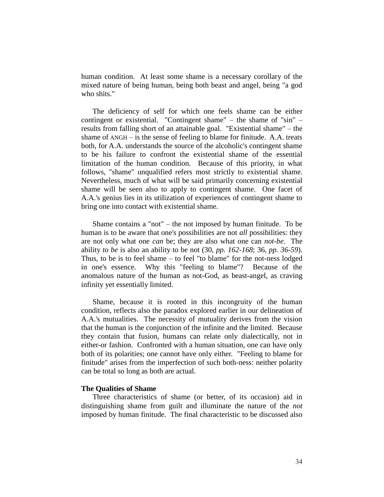human condition. At least some shame is a necessary corollary of the mixed nature of being human, being both beast and angel, being "a god who shits."

The deficiency of self for which one feels shame can be either contingent or existential. "Contingent shame" – the shame of "sin" – results from falling short of an attainable goal. "Existential shame" – the shame of ANGH – is the sense of feeling to blame for finitude. A.A. treats both, for A.A. understands the source of the alcoholic's contingent shame to be his failure to confront the existential shame of the essential limitation of the human condition. Because of this priority, in what follows, "shame" unqualified refers most strictly to existential shame. Nevertheless, much of what will be said primarily concerning existential shame will be seen also to apply to contingent shame. One facet of A.A.'s genius lies in its utilization of experiences of contingent shame to bring one into contact with existential shame.

Shame contains a "not" – the not imposed by human finitude. To be human is to be aware that one's possibilities are not *all* possibilities: they are not only what one *can* be; they are also what one can *not-be*. The ability *to be* is also an ability to be not (30, *pp. 162-168*; 36, *pp. 36-59*). Thus, to be is to feel shame – to feel "to blame" for the not-ness lodged in one's essence. Why this "feeling to blame"? Because of the anomalous nature of the human as not-God, as beast-angel, as craving infinity yet essentially limited.

Shame, because it is rooted in this incongruity of the human condition, reflects also the paradox explored earlier in our delineation of A.A.'s mutualities. The necessity of mutuality derives from the vision that the human is the conjunction of the infinite and the limited. Because they contain that fusion, humans can relate only dialectically, not in either-or fashion. Confronted with a human situation, one can have only both of its polarities; one cannot have only either. "Feeling to blame for finitude" arises from the imperfection of such both-ness: neither polarity can be total so long as both are actual.

# **The Qualities of Shame**

Three characteristics of shame (or better, of its occasion) aid in distinguishing shame from guilt and illuminate the nature of the *not* imposed by human finitude. The final characteristic to be discussed also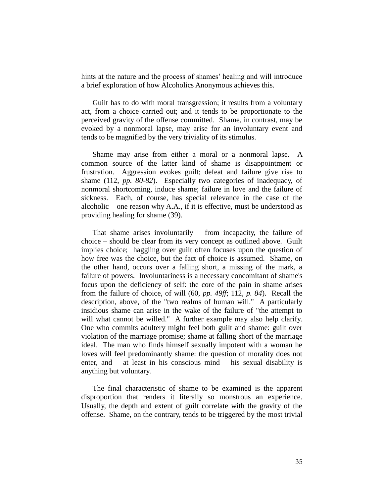hints at the nature and the process of shames' healing and will introduce a brief exploration of how Alcoholics Anonymous achieves this.

Guilt has to do with moral transgression; it results from a voluntary act, from a choice carried out; and it tends to be proportionate to the perceived gravity of the offense committed. Shame, in contrast, may be evoked by a nonmoral lapse, may arise for an involuntary event and tends to be magnified by the very triviality of its stimulus.

Shame may arise from either a moral or a nonmoral lapse. A common source of the latter kind of shame is disappointment or frustration. Aggression evokes guilt; defeat and failure give rise to shame (112, *pp. 80-82*). Especially two categories of inadequacy, of nonmoral shortcoming, induce shame; failure in love and the failure of sickness. Each, of course, has special relevance in the case of the alcoholic – one reason why A.A., if it is effective, must be understood as providing healing for shame (39).

That shame arises involuntarily – from incapacity, the failure of choice – should be clear from its very concept as outlined above. Guilt implies choice; haggling over guilt often focuses upon the question of how free was the choice, but the fact of choice is assumed. Shame, on the other hand, occurs over a falling short, a missing of the mark, a failure of powers. Involuntariness is a necessary concomitant of shame's focus upon the deficiency of self: the core of the pain in shame arises from the failure of choice, of will (60, *pp. 49ff*; 112, *p. 84*). Recall the description, above, of the "two realms of human will." A particularly insidious shame can arise in the wake of the failure of "the attempt to will what cannot be willed." A further example may also help clarify. One who commits adultery might feel both guilt and shame: guilt over violation of the marriage promise; shame at falling short of the marriage ideal. The man who finds himself sexually impotent with a woman he loves will feel predominantly shame: the question of morality does not enter, and – at least in his conscious mind – his sexual disability is anything but voluntary.

The final characteristic of shame to be examined is the apparent disproportion that renders it literally so monstrous an experience. Usually, the depth and extent of guilt correlate with the gravity of the offense. Shame, on the contrary, tends to be triggered by the most trivial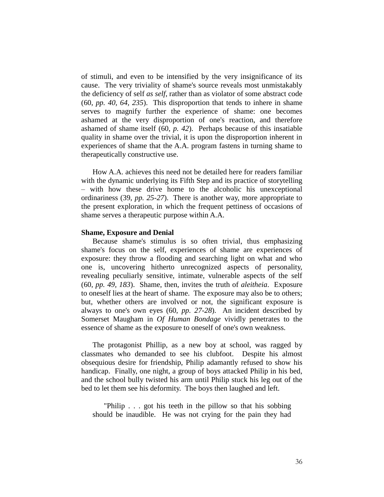of stimuli, and even to be intensified by the very insignificance of its cause. The very triviality of shame's source reveals most unmistakably the deficiency of self *as self*, rather than as violator of some abstract code (60, *pp. 40, 64, 235*). This disproportion that tends to inhere in shame serves to magnify further the experience of shame: one becomes ashamed at the very disproportion of one's reaction, and therefore ashamed of shame itself (60, *p. 42*). Perhaps because of this insatiable quality in shame over the trivial, it is upon the disproportion inherent in experiences of shame that the A.A. program fastens in turning shame to therapeutically constructive use.

How A.A. achieves this need not be detailed here for readers familiar with the dynamic underlying its Fifth Step and its practice of storytelling – with how these drive home to the alcoholic his unexceptional ordinariness (39, *pp. 25-27*). There is another way, more appropriate to the present exploration, in which the frequent pettiness of occasions of shame serves a therapeutic purpose within A.A.

### **Shame, Exposure and Denial**

Because shame's stimulus is so often trivial, thus emphasizing shame's focus on the self, experiences of shame are experiences of exposure: they throw a flooding and searching light on what and who one is, uncovering hitherto unrecognized aspects of personality, revealing peculiarly sensitive, intimate, vulnerable aspects of the self (60, *pp. 49, 183*). Shame, then, invites the truth of *aleitheia*. Exposure to oneself lies at the heart of shame. The exposure may also be to others; but, whether others are involved or not, the significant exposure is always to one's own eyes (60, *pp. 27-28*). An incident described by Somerset Maugham in *Of Human Bondage* vividly penetrates to the essence of shame as the exposure to oneself of one's own weakness.

The protagonist Phillip, as a new boy at school, was ragged by classmates who demanded to see his clubfoot. Despite his almost obsequious desire for friendship, Philip adamantly refused to show his handicap. Finally, one night, a group of boys attacked Philip in his bed, and the school bully twisted his arm until Philip stuck his leg out of the bed to let them see his deformity. The boys then laughed and left.

"Philip . . . got his teeth in the pillow so that his sobbing should be inaudible. He was not crying for the pain they had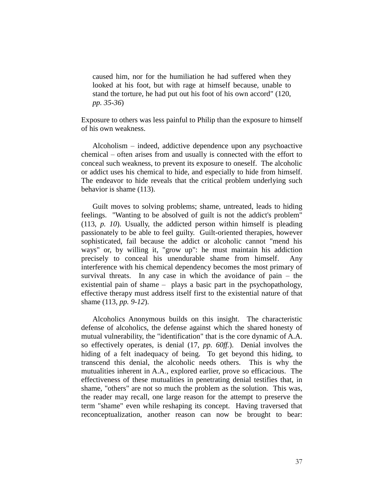caused him, nor for the humiliation he had suffered when they looked at his foot, but with rage at himself because, unable to stand the torture, he had put out his foot of his own accord" (120, *pp. 35-36*)

Exposure to others was less painful to Philip than the exposure to himself of his own weakness.

Alcoholism – indeed, addictive dependence upon any psychoactive chemical – often arises from and usually is connected with the effort to conceal such weakness, to prevent its exposure to oneself. The alcoholic or addict uses his chemical to hide, and especially to hide from himself. The endeavor to hide reveals that the critical problem underlying such behavior is shame (113).

Guilt moves to solving problems; shame, untreated, leads to hiding feelings. "Wanting to be absolved of guilt is not the addict's problem" (113, *p. 10*). Usually, the addicted person within himself is pleading passionately to be able to feel guilty. Guilt-oriented therapies, however sophisticated, fail because the addict or alcoholic cannot "mend his ways" or, by willing it, "grow up": he must maintain his addiction precisely to conceal his unendurable shame from himself. Any interference with his chemical dependency becomes the most primary of survival threats. In any case in which the avoidance of pain – the existential pain of shame – plays a basic part in the psychopathology, effective therapy must address itself first to the existential nature of that shame (113, *pp. 9-12*).

Alcoholics Anonymous builds on this insight. The characteristic defense of alcoholics, the defense against which the shared honesty of mutual vulnerability, the "identification" that is the core dynamic of A.A. so effectively operates, is denial (17, *pp. 60ff.*). Denial involves the hiding of a felt inadequacy of being. To get beyond this hiding, to transcend this denial, the alcoholic needs others. This is why the mutualities inherent in A.A., explored earlier, prove so efficacious. The effectiveness of these mutualities in penetrating denial testifies that, in shame, "others" are not so much the problem as the solution. This was, the reader may recall, one large reason for the attempt to preserve the term "shame" even while reshaping its concept. Having traversed that reconceptualization, another reason can now be brought to bear: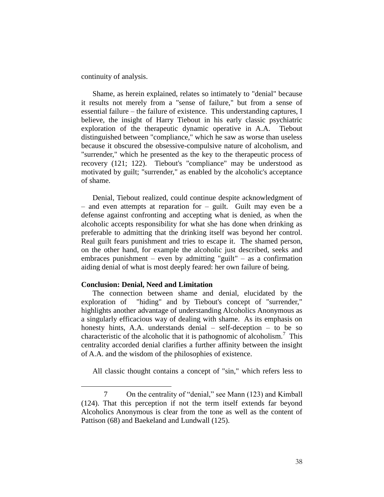continuity of analysis.

Shame, as herein explained, relates so intimately to "denial" because it results not merely from a "sense of failure," but from a sense of essential failure – the failure of existence. This understanding captures, I believe, the insight of Harry Tiebout in his early classic psychiatric exploration of the therapeutic dynamic operative in A.A. Tiebout distinguished between "compliance," which he saw as worse than useless because it obscured the obsessive-compulsive nature of alcoholism, and "surrender," which he presented as the key to the therapeutic process of recovery (121; 122). Tiebout's "compliance" may be understood as motivated by guilt; "surrender," as enabled by the alcoholic's acceptance of shame.

Denial, Tiebout realized, could continue despite acknowledgment of – and even attempts at reparation for – guilt. Guilt may even be a defense against confronting and accepting what is denied, as when the alcoholic accepts responsibility for what she has done when drinking as preferable to admitting that the drinking itself was beyond her control. Real guilt fears punishment and tries to escape it. The shamed person, on the other hand, for example the alcoholic just described, seeks and embraces punishment – even by admitting "guilt" – as a confirmation aiding denial of what is most deeply feared: her own failure of being.

## **Conclusion: Denial, Need and Limitation**

 $\overline{a}$ 

The connection between shame and denial, elucidated by the exploration of "hiding" and by Tiebout's concept of "surrender," highlights another advantage of understanding Alcoholics Anonymous as a singularly efficacious way of dealing with shame. As its emphasis on honesty hints, A.A. understands denial – self-deception – to be so characteristic of the alcoholic that it is pathognomic of alcoholism.<sup>7</sup> This centrality accorded denial clarifies a further affinity between the insight of A.A. and the wisdom of the philosophies of existence.

All classic thought contains a concept of "sin," which refers less to

<sup>7</sup> On the centrality of "denial," see Mann (123) and Kimball (124). That this perception if not the term itself extends far beyond Alcoholics Anonymous is clear from the tone as well as the content of Pattison (68) and Baekeland and Lundwall (125).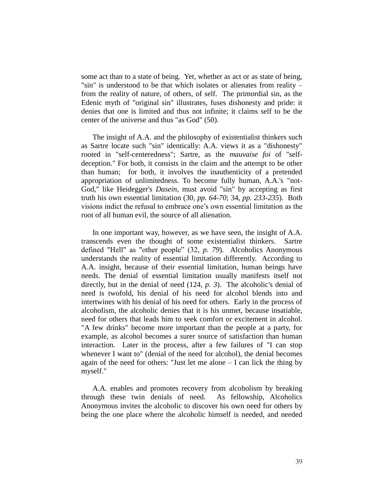some act than to a state of being. Yet, whether as act or as state of being, "sin" is understood to be that which isolates or alienates from reality – from the reality of nature, of others, of self. The primordial sin, as the Edenic myth of "original sin" illustrates, fuses dishonesty and pride: it denies that one is limited and thus not infinite; it claims self to be the center of the universe and thus "as God" (50).

The insight of A.A. and the philosophy of existentialist thinkers such as Sartre locate such "sin" identically: A.A. views it as a "dishonesty" rooted in "self-centeredness"; Sartre, as the *mauvaise foi* of "selfdeception." For both, it consists in the claim and the attempt to be other than human; for both, it involves the inauthenticity of a pretended appropriation of unlimitedness. To become fully human, A.A.'s "not-God," like Heidegger's *Dasein*, must avoid "sin" by accepting as first truth his own essential limitation (30, *pp. 64-70*; 34, *pp. 233-235*). Both visions indict the refusal to embrace one's own essential limitation as the root of all human evil, the source of all alienation.

In one important way, however, as we have seen, the insight of A.A. transcends even the thought of some existentialist thinkers. Sartre defined "Hell" as "other people" (32, *p. 79*). Alcoholics Anonymous understands the reality of essential limitation differently. According to A.A. insight, because of their essential limitation, human beings have needs. The denial of essential limitation usually manifests itself not directly, but in the denial of need (124, *p. 3*). The alcoholic's denial of need is twofold, his denial of his need for alcohol blends into and intertwines with his denial of his need for others. Early in the process of alcoholism, the alcoholic denies that it is his unmet, because insatiable, need for others that leads him to seek comfort or excitement in alcohol. "A few drinks" become more important than the people at a party, for example, as alcohol becomes a surer source of satisfaction than human interaction. Later in the process, after a few failures of "I can stop whenever I want to" (denial of the need for alcohol), the denial becomes again of the need for others: "Just let me alone  $- I$  can lick the thing by myself."

A.A. enables and promotes recovery from alcoholism by breaking through these twin denials of need. As fellowship, Alcoholics Anonymous invites the alcoholic to discover his own need for others by being the one place where the alcoholic himself is needed, and needed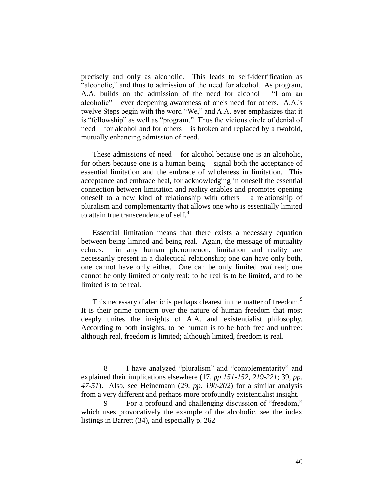precisely and only as alcoholic. This leads to self-identification as "alcoholic," and thus to admission of the need for alcohol. As program, A.A. builds on the admission of the need for alcohol – "I am an alcoholic" – ever deepening awareness of one's need for others. A.A.'s twelve Steps begin with the word "We," and A.A. ever emphasizes that it is "fellowship" as well as "program." Thus the vicious circle of denial of need – for alcohol and for others – is broken and replaced by a twofold, mutually enhancing admission of need.

These admissions of need – for alcohol because one is an alcoholic, for others because one is a human being – signal both the acceptance of essential limitation and the embrace of wholeness in limitation. This acceptance and embrace heal, for acknowledging in oneself the essential connection between limitation and reality enables and promotes opening oneself to a new kind of relationship with others – a relationship of pluralism and complementarity that allows one who is essentially limited to attain true transcendence of self.<sup>8</sup>

Essential limitation means that there exists a necessary equation between being limited and being real. Again, the message of mutuality echoes: in any human phenomenon, limitation and reality are necessarily present in a dialectical relationship; one can have only both, one cannot have only either. One can be only limited *and* real; one cannot be only limited or only real: to be real is to be limited, and to be limited is to be real.

This necessary dialectic is perhaps clearest in the matter of freedom.<sup>9</sup> It is their prime concern over the nature of human freedom that most deeply unites the insights of A.A. and existentialist philosophy. According to both insights, to be human is to be both free and unfree: although real, freedom is limited; although limited, freedom is real.

 $\overline{a}$ 

<sup>8</sup> I have analyzed "pluralism" and "complementarity" and explained their implications elsewhere (17, *pp 151-152, 219-221*; 39, *pp. 47-51*). Also, see Heinemann (29, *pp. 190-202*) for a similar analysis from a very different and perhaps more profoundly existentialist insight.

For a profound and challenging discussion of "freedom," which uses provocatively the example of the alcoholic, see the index listings in Barrett (34), and especially p. 262.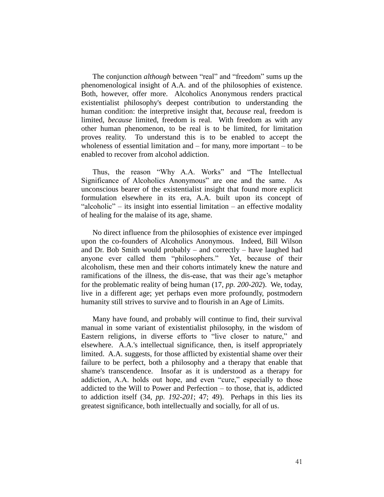The conjunction *although* between "real" and "freedom" sums up the phenomenological insight of A.A. and of the philosophies of existence. Both, however, offer more. Alcoholics Anonymous renders practical existentialist philosophy's deepest contribution to understanding the human condition: the interpretive insight that, *because* real, freedom is limited, *because* limited, freedom is real. With freedom as with any other human phenomenon, to be real is to be limited, for limitation proves reality. To understand this is to be enabled to accept the wholeness of essential limitation and  $-$  for many, more important  $-$  to be enabled to recover from alcohol addiction.

Thus, the reason "Why A.A. Works" and "The Intellectual Significance of Alcoholics Anonymous" are one and the same. As unconscious bearer of the existentialist insight that found more explicit formulation elsewhere in its era, A.A. built upon its concept of "alcoholic" – its insight into essential limitation – an effective modality of healing for the malaise of its age, shame.

No direct influence from the philosophies of existence ever impinged upon the co-founders of Alcoholics Anonymous. Indeed, Bill Wilson and Dr. Bob Smith would probably – and correctly – have laughed had anyone ever called them "philosophers." Yet, because of their alcoholism, these men and their cohorts intimately knew the nature and ramifications of the illness, the dis-ease, that was their age's metaphor for the problematic reality of being human (17, *pp. 200-202*). We, today, live in a different age; yet perhaps even more profoundly, postmodern humanity still strives to survive and to flourish in an Age of Limits.

Many have found, and probably will continue to find, their survival manual in some variant of existentialist philosophy, in the wisdom of Eastern religions, in diverse efforts to "live closer to nature," and elsewhere. A.A.'s intellectual significance, then, is itself appropriately limited. A.A. suggests, for those afflicted by existential shame over their failure to be perfect, both a philosophy and a therapy that enable that shame's transcendence. Insofar as it is understood as a therapy for addiction, A.A. holds out hope, and even "cure," especially to those addicted to the Will to Power and Perfection – to those, that is, addicted to addiction itself (34, *pp. 192-201*; 47; 49). Perhaps in this lies its greatest significance, both intellectually and socially, for all of us.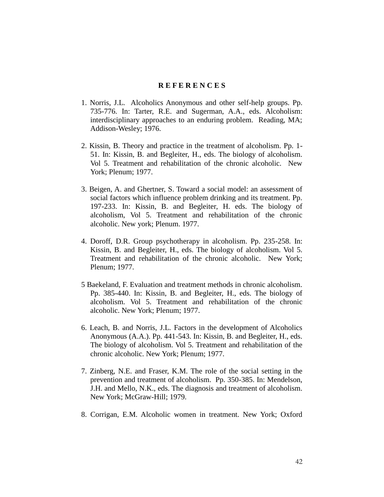### **R E F E R E N C E S**

- 1. Norris, J.L. Alcoholics Anonymous and other self-help groups. Pp. 735-776. In: Tarter, R.E. and Sugerman, A.A., eds. Alcoholism: interdisciplinary approaches to an enduring problem. Reading, MA; Addison-Wesley; 1976.
- 2. Kissin, B. Theory and practice in the treatment of alcoholism. Pp. 1- 51. In: Kissin, B. and Begleiter, H., eds. The biology of alcoholism. Vol 5. Treatment and rehabilitation of the chronic alcoholic. New York; Plenum; 1977.
- 3. Beigen, A. and Ghertner, S. Toward a social model: an assessment of social factors which influence problem drinking and its treatment. Pp. 197-233. In: Kissin, B. and Begleiter, H. eds. The biology of alcoholism, Vol 5. Treatment and rehabilitation of the chronic alcoholic. New york; Plenum. 1977.
- 4. Doroff, D.R. Group psychotherapy in alcoholism. Pp. 235-258. In: Kissin, B. and Begleiter, H., eds. The biology of alcoholism. Vol 5. Treatment and rehabilitation of the chronic alcoholic. New York; Plenum; 1977.
- 5 Baekeland, F. Evaluation and treatment methods in chronic alcoholism. Pp. 385-440. In: Kissin, B. and Begleiter, H., eds. The biology of alcoholism. Vol 5. Treatment and rehabilitation of the chronic alcoholic. New York; Plenum; 1977.
- 6. Leach, B. and Norris, J.L. Factors in the development of Alcoholics Anonymous (A.A.). Pp. 441-543. In: Kissin, B. and Begleiter, H., eds. The biology of alcoholism. Vol 5. Treatment and rehabilitation of the chronic alcoholic. New York; Plenum; 1977.
- 7. Zinberg, N.E. and Fraser, K.M. The role of the social setting in the prevention and treatment of alcoholism. Pp. 350-385. In: Mendelson, J.H. and Mello, N.K., eds. The diagnosis and treatment of alcoholism. New York; McGraw-Hill; 1979.
- 8. Corrigan, E.M. Alcoholic women in treatment. New York; Oxford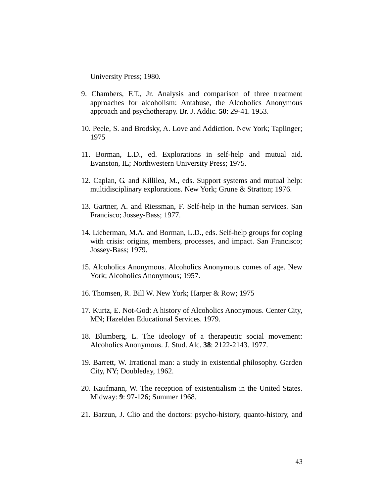University Press; 1980.

- 9. Chambers, F.T., Jr. Analysis and comparison of three treatment approaches for alcoholism: Antabuse, the Alcoholics Anonymous approach and psychotherapy. Br. J. Addic. **50**: 29-41. 1953.
- 10. Peele, S. and Brodsky, A. Love and Addiction. New York; Taplinger; 1975
- 11. Borman, L.D., ed. Explorations in self-help and mutual aid. Evanston, IL; Northwestern University Press; 1975.
- 12. Caplan, G. and Killilea, M., eds. Support systems and mutual help: multidisciplinary explorations. New York; Grune & Stratton; 1976.
- 13. Gartner, A. and Riessman, F. Self-help in the human services. San Francisco; Jossey-Bass; 1977.
- 14. Lieberman, M.A. and Borman, L.D., eds. Self-help groups for coping with crisis: origins, members, processes, and impact. San Francisco; Jossey-Bass; 1979.
- 15. Alcoholics Anonymous. Alcoholics Anonymous comes of age. New York; Alcoholics Anonymous; 1957.
- 16. Thomsen, R. Bill W. New York; Harper & Row; 1975
- 17. Kurtz, E. Not-God: A history of Alcoholics Anonymous. Center City, MN; Hazelden Educational Services. 1979.
- 18. Blumberg, L. The ideology of a therapeutic social movement: Alcoholics Anonymous. J. Stud. Alc. **38**: 2122-2143. 1977.
- 19. Barrett, W. Irrational man: a study in existential philosophy. Garden City, NY; Doubleday, 1962.
- 20. Kaufmann, W. The reception of existentialism in the United States. Midway: **9**: 97-126; Summer 1968.
- 21. Barzun, J. Clio and the doctors: psycho-history, quanto-history, and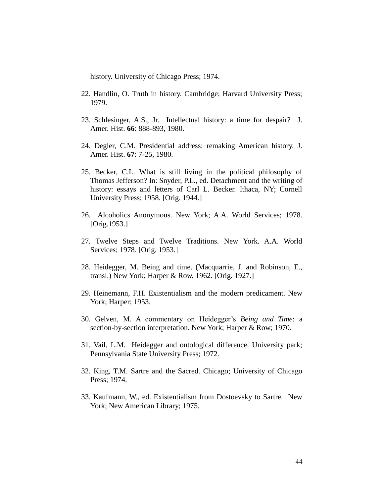history. University of Chicago Press; 1974.

- 22. Handlin, O. Truth in history. Cambridge; Harvard University Press; 1979.
- 23. Schlesinger, A.S., Jr. Intellectual history: a time for despair? J. Amer. Hist. **66**: 888-893, 1980.
- 24. Degler, C.M. Presidential address: remaking American history. J. Amer. Hist. **67**: 7-25, 1980.
- 25. Becker, C.L. What is still living in the political philosophy of Thomas Jefferson? In: Snyder, P.L., ed. Detachment and the writing of history: essays and letters of Carl L. Becker. Ithaca, NY; Cornell University Press; 1958. [Orig. 1944.]
- 26. Alcoholics Anonymous. New York; A.A. World Services; 1978. [Orig.1953.]
- 27. Twelve Steps and Twelve Traditions. New York. A.A. World Services; 1978. [Orig. 1953.]
- 28. Heidegger, M. Being and time. (Macquarrie, J. and Robinson, E., transl.) New York; Harper & Row, 1962. [Orig. 1927.]
- 29. Heinemann, F.H. Existentialism and the modern predicament. New York; Harper; 1953.
- 30. Gelven, M. A commentary on Heidegger's *Being and Time*: a section-by-section interpretation. New York; Harper & Row; 1970.
- 31. Vail, L.M. Heidegger and ontological difference. University park; Pennsylvania State University Press; 1972.
- 32. King, T.M. Sartre and the Sacred. Chicago; University of Chicago Press; 1974.
- 33. Kaufmann, W., ed. Existentialism from Dostoevsky to Sartre. New York; New American Library; 1975.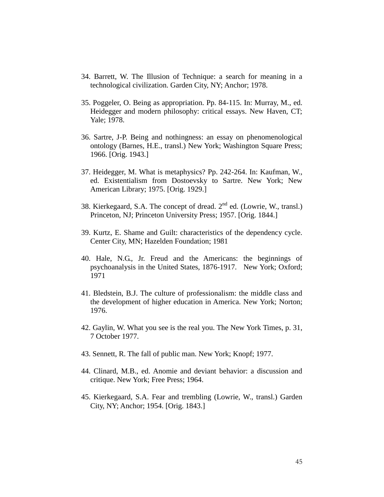- 34. Barrett, W. The Illusion of Technique: a search for meaning in a technological civilization. Garden City, NY; Anchor; 1978.
- 35. Poggeler, O. Being as appropriation. Pp. 84-115. In: Murray, M., ed. Heidegger and modern philosophy: critical essays. New Haven, CT; Yale; 1978.
- 36. Sartre, J-P. Being and nothingness: an essay on phenomenological ontology (Barnes, H.E., transl.) New York; Washington Square Press; 1966. [Orig. 1943.]
- 37. Heidegger, M. What is metaphysics? Pp. 242-264. In: Kaufman, W., ed. Existentialism from Dostoevsky to Sartre. New York; New American Library; 1975. [Orig. 1929.]
- 38. Kierkegaard, S.A. The concept of dread.  $2<sup>nd</sup>$  ed. (Lowrie, W., transl.) Princeton, NJ; Princeton University Press; 1957. [Orig. 1844.]
- 39. Kurtz, E. Shame and Guilt: characteristics of the dependency cycle. Center City, MN; Hazelden Foundation; 1981
- 40. Hale, N.G., Jr. Freud and the Americans: the beginnings of psychoanalysis in the United States, 1876-1917. New York; Oxford; 1971
- 41. Bledstein, B.J. The culture of professionalism: the middle class and the development of higher education in America. New York; Norton; 1976.
- 42. Gaylin, W. What you see is the real you. The New York Times, p. 31, 7 October 1977.
- 43. Sennett, R. The fall of public man. New York; Knopf; 1977.
- 44. Clinard, M.B., ed. Anomie and deviant behavior: a discussion and critique. New York; Free Press; 1964.
- 45. Kierkegaard, S.A. Fear and trembling (Lowrie, W., transl.) Garden City, NY; Anchor; 1954. [Orig. 1843.]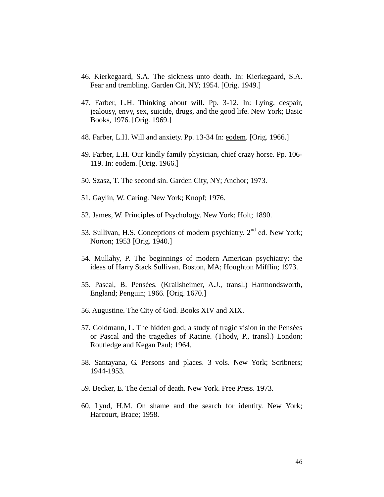- 46. Kierkegaard, S.A. The sickness unto death. In: Kierkegaard, S.A. Fear and trembling. Garden Cit, NY; 1954. [Orig. 1949.]
- 47. Farber, L.H. Thinking about will. Pp. 3-12. In: Lying, despair, jealousy, envy, sex, suicide, drugs, and the good life. New York; Basic Books, 1976. [Orig. 1969.]
- 48. Farber, L.H. Will and anxiety. Pp. 13-34 In: eodem. [Orig. 1966.]
- 49. Farber, L.H. Our kindly family physician, chief crazy horse. Pp. 106- 119. In: eodem. [Orig. 1966.]
- 50. Szasz, T. The second sin. Garden City, NY; Anchor; 1973.
- 51. Gaylin, W. Caring. New York; Knopf; 1976.
- 52. James, W. Principles of Psychology. New York; Holt; 1890.
- 53. Sullivan, H.S. Conceptions of modern psychiatry. 2<sup>nd</sup> ed. New York; Norton; 1953 [Orig. 1940.]
- 54. Mullahy, P. The beginnings of modern American psychiatry: the ideas of Harry Stack Sullivan. Boston, MA; Houghton Mifflin; 1973.
- 55. Pascal, B. Pensées. (Krailsheimer, A.J., transl.) Harmondsworth, England; Penguin; 1966. [Orig. 1670.]
- 56. Augustine. The City of God. Books XIV and XIX.
- 57. Goldmann, L. The hidden god; a study of tragic vision in the Pensées or Pascal and the tragedies of Racine. (Thody, P., transl.) London; Routledge and Kegan Paul; 1964.
- 58. Santayana, G. Persons and places. 3 vols. New York; Scribners; 1944-1953.
- 59. Becker, E. The denial of death. New York. Free Press. 1973.
- 60. Lynd, H.M. On shame and the search for identity. New York; Harcourt, Brace; 1958.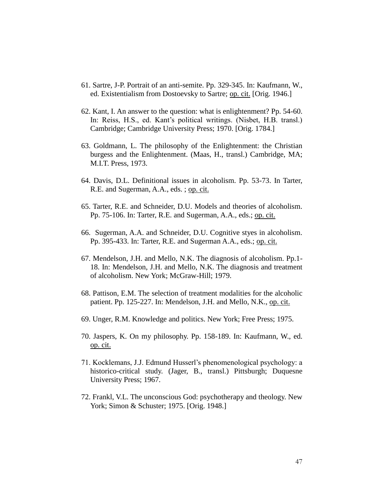- 61. Sartre, J-P. Portrait of an anti-semite. Pp. 329-345. In: Kaufmann, W., ed. Existentialism from Dostoevsky to Sartre; op. cit. [Orig. 1946.]
- 62. Kant, I. An answer to the question: what is enlightenment? Pp. 54-60. In: Reiss, H.S., ed. Kant's political writings. (Nisbet, H.B. transl.) Cambridge; Cambridge University Press; 1970. [Orig. 1784.]
- 63. Goldmann, L. The philosophy of the Enlightenment: the Christian burgess and the Enlightenment. (Maas, H., transl.) Cambridge, MA; M.I.T. Press, 1973.
- 64. Davis, D.L. Definitional issues in alcoholism. Pp. 53-73. In Tarter, R.E. and Sugerman, A.A., eds. ; op. cit.
- 65. Tarter, R.E. and Schneider, D.U. Models and theories of alcoholism. Pp. 75-106. In: Tarter, R.E. and Sugerman, A.A., eds.; op. cit.
- 66. Sugerman, A.A. and Schneider, D.U. Cognitive styes in alcoholism. Pp. 395-433. In: Tarter, R.E. and Sugerman A.A., eds.; op. cit.
- 67. Mendelson, J.H. and Mello, N.K. The diagnosis of alcoholism. Pp.1- 18. In: Mendelson, J.H. and Mello, N.K. The diagnosis and treatment of alcoholism. New York; McGraw-Hill; 1979.
- 68. Pattison, E.M. The selection of treatment modalities for the alcoholic patient. Pp. 125-227. In: Mendelson, J.H. and Mello, N.K., op. cit.
- 69. Unger, R.M. Knowledge and politics. New York; Free Press; 1975.
- 70. Jaspers, K. On my philosophy. Pp. 158-189. In: Kaufmann, W., ed. op. cit.
- 71. Kocklemans, J.J. Edmund Husserl's phenomenological psychology: a historico-critical study. (Jager, B., transl.) Pittsburgh; Duquesne University Press; 1967.
- 72. Frankl, V.L. The unconscious God: psychotherapy and theology. New York; Simon & Schuster; 1975. [Orig. 1948.]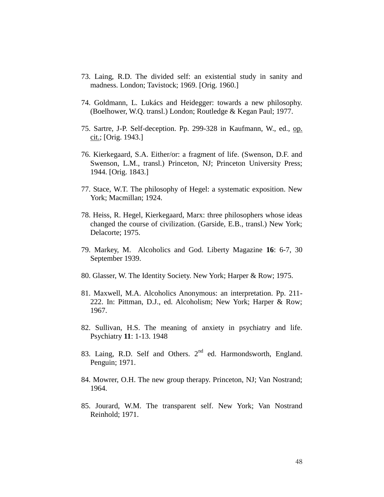- 73. Laing, R.D. The divided self: an existential study in sanity and madness. London; Tavistock; 1969. [Orig. 1960.]
- 74. Goldmann, L. Lukács and Heidegger: towards a new philosophy. (Boelhower, W.Q. transl.) London; Routledge & Kegan Paul; 1977.
- 75. Sartre, J-P. Self-deception. Pp. 299-328 in Kaufmann, W., ed., op. cit.; [Orig. 1943.]
- 76. Kierkegaard, S.A. Either/or: a fragment of life. (Swenson, D.F. and Swenson, L.M., transl.) Princeton, NJ; Princeton University Press; 1944. [Orig. 1843.]
- 77. Stace, W.T. The philosophy of Hegel: a systematic exposition. New York; Macmillan; 1924.
- 78. Heiss, R. Hegel, Kierkegaard, Marx: three philosophers whose ideas changed the course of civilization. (Garside, E.B., transl.) New York; Delacorte; 1975.
- 79. Markey, M. Alcoholics and God. Liberty Magazine **16**: 6-7, 30 September 1939.
- 80. Glasser, W. The Identity Society. New York; Harper & Row; 1975.
- 81. Maxwell, M.A. Alcoholics Anonymous: an interpretation. Pp. 211- 222. In: Pittman, D.J., ed. Alcoholism; New York; Harper & Row; 1967.
- 82. Sullivan, H.S. The meaning of anxiety in psychiatry and life. Psychiatry **11**: 1-13. 1948
- 83. Laing, R.D. Self and Others. 2<sup>nd</sup> ed. Harmondsworth, England. Penguin; 1971.
- 84. Mowrer, O.H. The new group therapy. Princeton, NJ; Van Nostrand; 1964.
- 85. Jourard, W.M. The transparent self. New York; Van Nostrand Reinhold; 1971.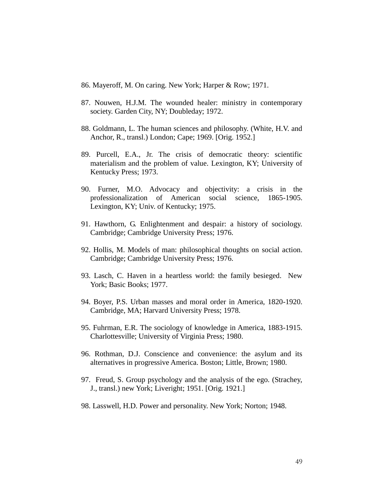- 86. Mayeroff, M. On caring. New York; Harper & Row; 1971.
- 87. Nouwen, H.J.M. The wounded healer: ministry in contemporary society. Garden City, NY; Doubleday; 1972.
- 88. Goldmann, L. The human sciences and philosophy. (White, H.V. and Anchor, R., transl.) London; Cape; 1969. [Orig. 1952.]
- 89. Purcell, E.A., Jr. The crisis of democratic theory: scientific materialism and the problem of value. Lexington, KY; University of Kentucky Press; 1973.
- 90. Furner, M.O. Advocacy and objectivity: a crisis in the professionalization of American social science, 1865-1905. Lexington, KY; Univ. of Kentucky; 1975.
- 91. Hawthorn, G. Enlightenment and despair: a history of sociology. Cambridge; Cambridge University Press; 1976.
- 92. Hollis, M. Models of man: philosophical thoughts on social action. Cambridge; Cambridge University Press; 1976.
- 93. Lasch, C. Haven in a heartless world: the family besieged. New York; Basic Books; 1977.
- 94. Boyer, P.S. Urban masses and moral order in America, 1820-1920. Cambridge, MA; Harvard University Press; 1978.
- 95. Fuhrman, E.R. The sociology of knowledge in America, 1883-1915. Charlottesville; University of Virginia Press; 1980.
- 96. Rothman, D.J. Conscience and convenience: the asylum and its alternatives in progressive America. Boston; Little, Brown; 1980.
- 97. Freud, S. Group psychology and the analysis of the ego. (Strachey, J., transl.) new York; Liveright; 1951. [Orig. 1921.]
- 98. Lasswell, H.D. Power and personality. New York; Norton; 1948.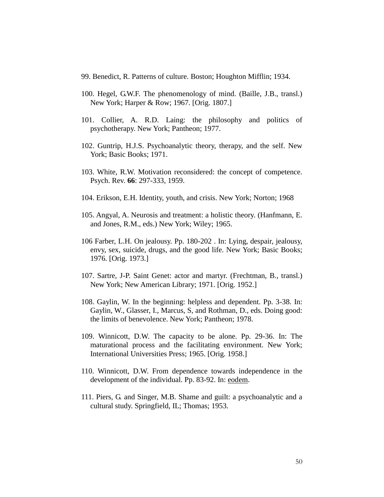- 99. Benedict, R. Patterns of culture. Boston; Houghton Mifflin; 1934.
- 100. Hegel, G.W.F. The phenomenology of mind. (Baille, J.B., transl.) New York; Harper & Row; 1967. [Orig. 1807.]
- 101. Collier, A. R.D. Laing: the philosophy and politics of psychotherapy. New York; Pantheon; 1977.
- 102. Guntrip, H.J.S. Psychoanalytic theory, therapy, and the self. New York; Basic Books; 1971.
- 103. White, R.W. Motivation reconsidered: the concept of competence. Psych. Rev. **66**: 297-333, 1959.
- 104. Erikson, E.H. Identity, youth, and crisis. New York; Norton; 1968
- 105. Angyal, A. Neurosis and treatment: a holistic theory. (Hanfmann, E. and Jones, R.M., eds.) New York; Wiley; 1965.
- 106 Farber, L.H. On jealousy. Pp. 180-202 . In: Lying, despair, jealousy, envy, sex, suicide, drugs, and the good life. New York; Basic Books; 1976. [Orig. 1973.]
- 107. Sartre, J-P. Saint Genet: actor and martyr. (Frechtman, B., transl.) New York; New American Library; 1971. [Orig. 1952.]
- 108. Gaylin, W. In the beginning: helpless and dependent. Pp. 3-38. In: Gaylin, W., Glasser, I., Marcus, S, and Rothman, D., eds. Doing good: the limits of benevolence. New York; Pantheon; 1978.
- 109. Winnicott, D.W. The capacity to be alone. Pp. 29-36. In: The maturational process and the facilitating environment. New York; International Universities Press; 1965. [Orig. 1958.]
- 110. Winnicott, D.W. From dependence towards independence in the development of the individual. Pp. 83-92. In: eodem.
- 111. Piers, G. and Singer, M.B. Shame and guilt: a psychoanalytic and a cultural study. Springfield, IL; Thomas; 1953.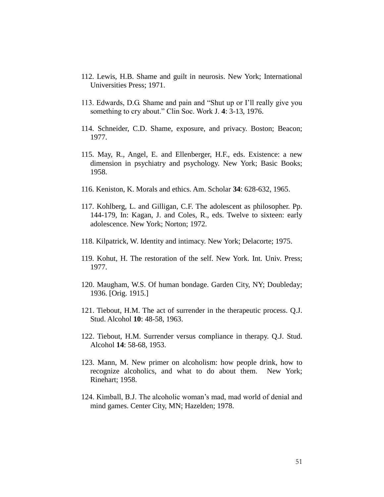- 112. Lewis, H.B. Shame and guilt in neurosis. New York; International Universities Press; 1971.
- 113. Edwards, D.G. Shame and pain and "Shut up or I'll really give you something to cry about." Clin Soc. Work J. **4**: 3-13, 1976.
- 114. Schneider, C.D. Shame, exposure, and privacy. Boston; Beacon; 1977.
- 115. May, R., Angel, E. and Ellenberger, H.F., eds. Existence: a new dimension in psychiatry and psychology. New York; Basic Books; 1958.
- 116. Keniston, K. Morals and ethics. Am. Scholar **34**: 628-632, 1965.
- 117. Kohlberg, L. and Gilligan, C.F. The adolescent as philosopher. Pp. 144-179, In: Kagan, J. and Coles, R., eds. Twelve to sixteen: early adolescence. New York; Norton; 1972.
- 118. Kilpatrick, W. Identity and intimacy. New York; Delacorte; 1975.
- 119. Kohut, H. The restoration of the self. New York. Int. Univ. Press; 1977.
- 120. Maugham, W.S. Of human bondage. Garden City, NY; Doubleday; 1936. [Orig. 1915.]
- 121. Tiebout, H.M. The act of surrender in the therapeutic process. Q.J. Stud. Alcohol **10**: 48-58, 1963.
- 122. Tiebout, H.M. Surrender versus compliance in therapy. Q.J. Stud. Alcohol **14**: 58-68, 1953.
- 123. Mann, M. New primer on alcoholism: how people drink, how to recognize alcoholics, and what to do about them. New York; Rinehart; 1958.
- 124. Kimball, B.J. The alcoholic woman's mad, mad world of denial and mind games. Center City, MN; Hazelden; 1978.